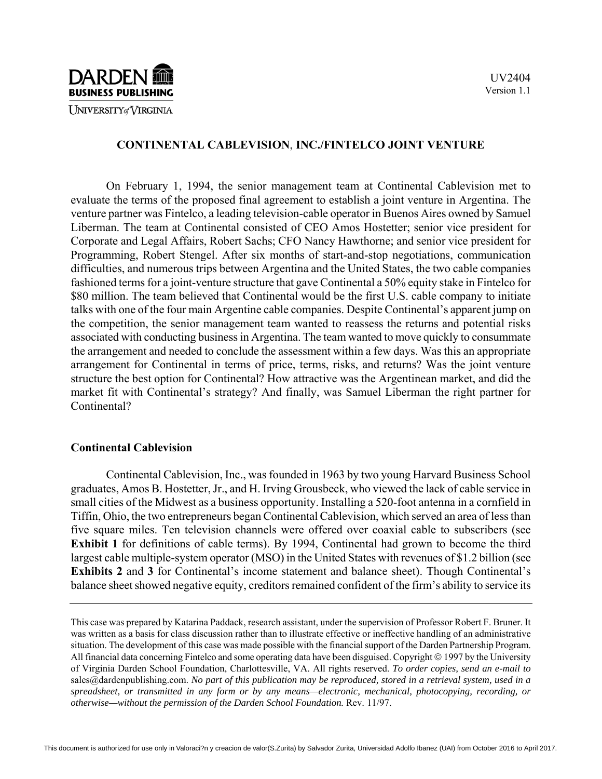

### **CONTINENTAL CABLEVISION**, **INC./FINTELCO JOINT VENTURE**

On February 1, 1994, the senior management team at Continental Cablevision met to evaluate the terms of the proposed final agreement to establish a joint venture in Argentina. The venture partner was Fintelco, a leading television-cable operator in Buenos Aires owned by Samuel Liberman. The team at Continental consisted of CEO Amos Hostetter; senior vice president for Corporate and Legal Affairs, Robert Sachs; CFO Nancy Hawthorne; and senior vice president for Programming, Robert Stengel. After six months of start-and-stop negotiations, communication difficulties, and numerous trips between Argentina and the United States, the two cable companies fashioned terms for a joint-venture structure that gave Continental a 50% equity stake in Fintelco for \$80 million. The team believed that Continental would be the first U.S. cable company to initiate talks with one of the four main Argentine cable companies. Despite Continental's apparent jump on the competition, the senior management team wanted to reassess the returns and potential risks associated with conducting business in Argentina. The team wanted to move quickly to consummate the arrangement and needed to conclude the assessment within a few days. Was this an appropriate arrangement for Continental in terms of price, terms, risks, and returns? Was the joint venture structure the best option for Continental? How attractive was the Argentinean market, and did the market fit with Continental's strategy? And finally, was Samuel Liberman the right partner for Continental?

### **Continental Cablevision**

Continental Cablevision, Inc., was founded in 1963 by two young Harvard Business School graduates, Amos B. Hostetter, Jr., and H. Irving Grousbeck, who viewed the lack of cable service in small cities of the Midwest as a business opportunity. Installing a 520-foot antenna in a cornfield in Tiffin, Ohio, the two entrepreneurs began Continental Cablevision, which served an area of less than five square miles. Ten television channels were offered over coaxial cable to subscribers (see **Exhibit 1** for definitions of cable terms). By 1994, Continental had grown to become the third largest cable multiple-system operator (MSO) in the United States with revenues of \$1.2 billion (see **Exhibits 2** and **3** for Continental's income statement and balance sheet). Though Continental's balance sheet showed negative equity, creditors remained confident of the firm's ability to service its

This case was prepared by Katarina Paddack, research assistant, under the supervision of Professor Robert F. Bruner. It was written as a basis for class discussion rather than to illustrate effective or ineffective handling of an administrative situation. The development of this case was made possible with the financial support of the Darden Partnership Program. All financial data concerning Fintelco and some operating data have been disguised. Copyright © 1997 by the University of Virginia Darden School Foundation, Charlottesville, VA. All rights reserved. *To order copies, send an e-mail to*  sales@dardenpublishing.com. *No part of this publication may be reproduced, stored in a retrieval system, used in a spreadsheet, or transmitted in any form or by any means—electronic, mechanical, photocopying, recording, or otherwise—without the permission of the Darden School Foundation.* Rev. 11/97.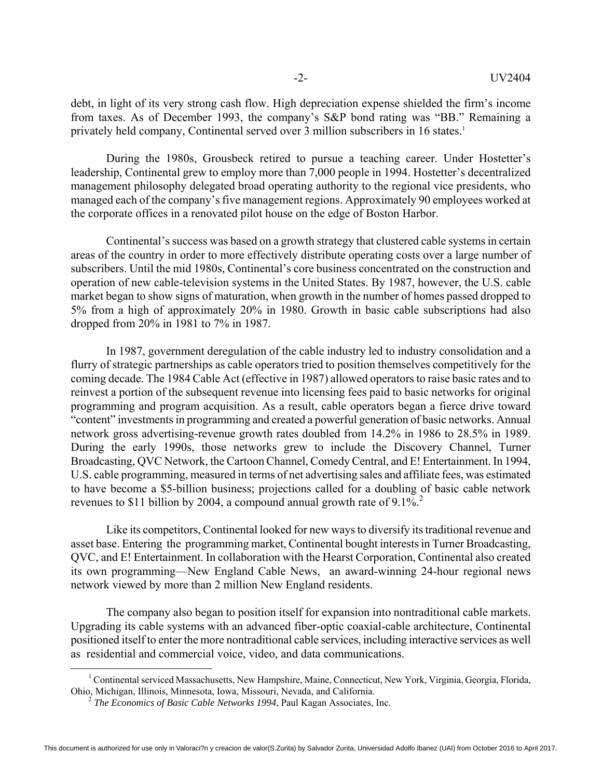debt, in light of its very strong cash flow. High depreciation expense shielded the firm's income from taxes. As of December 1993, the company's S&P bond rating was "BB." Remaining a privately held company, Continental served over 3 million subscribers in 16 states.<sup>1</sup>

During the 1980s, Grousbeck retired to pursue a teaching career. Under Hostetter's leadership, Continental grew to employ more than 7,000 people in 1994. Hostetter's decentralized management philosophy delegated broad operating authority to the regional vice presidents, who managed each of the company's five management regions. Approximately 90 employees worked at the corporate offices in a renovated pilot house on the edge of Boston Harbor.

Continental's success was based on a growth strategy that clustered cable systems in certain areas of the country in order to more effectively distribute operating costs over a large number of subscribers. Until the mid 1980s, Continental's core business concentrated on the construction and operation of new cable-television systems in the United States. By 1987, however, the U.S. cable market began to show signs of maturation, when growth in the number of homes passed dropped to 5% from a high of approximately 20% in 1980. Growth in basic cable subscriptions had also dropped from 20% in 1981 to 7% in 1987.

In 1987, government deregulation of the cable industry led to industry consolidation and a flurry of strategic partnerships as cable operators tried to position themselves competitively for the coming decade. The 1984 Cable Act (effective in 1987) allowed operators to raise basic rates and to reinvest a portion of the subsequent revenue into licensing fees paid to basic networks for original programming and program acquisition. As a result, cable operators began a fierce drive toward "content" investments in programming and created a powerful generation of basic networks. Annual network gross advertising-revenue growth rates doubled from 14.2% in 1986 to 28.5% in 1989. During the early 1990s, those networks grew to include the Discovery Channel, Turner Broadcasting, QVC Network, the Cartoon Channel, Comedy Central, and E! Entertainment. In 1994, U.S. cable programming, measured in terms of net advertising sales and affiliate fees, was estimated to have become a \$5-billion business; projections called for a doubling of basic cable network revenues to \$11 billion by 2004, a compound annual growth rate of  $9.1\%$ <sup>2</sup>

Like its competitors, Continental looked for new ways to diversify its traditional revenue and asset base. Entering the programming market, Continental bought interests in Turner Broadcasting, QVC, and E! Entertainment. In collaboration with the Hearst Corporation, Continental also created its own programming—New England Cable News, an award-winning 24-hour regional news network viewed by more than 2 million New England residents.

The company also began to position itself for expansion into nontraditional cable markets. Upgrading its cable systems with an advanced fiber-optic coaxial-cable architecture, Continental positioned itself to enter the more nontraditional cable services, including interactive services as well as residential and commercial voice, video, and data communications.

 <sup>1</sup> <sup>1</sup> Continental serviced Massachusetts, New Hampshire, Maine, Connecticut, New York, Virginia, Georgia, Florida, Ohio, Michigan, Illinois, Minnesota, Iowa, Missouri, Nevada, and California. 2

*The Economics of Basic Cable Networks 1994*, Paul Kagan Associates, Inc.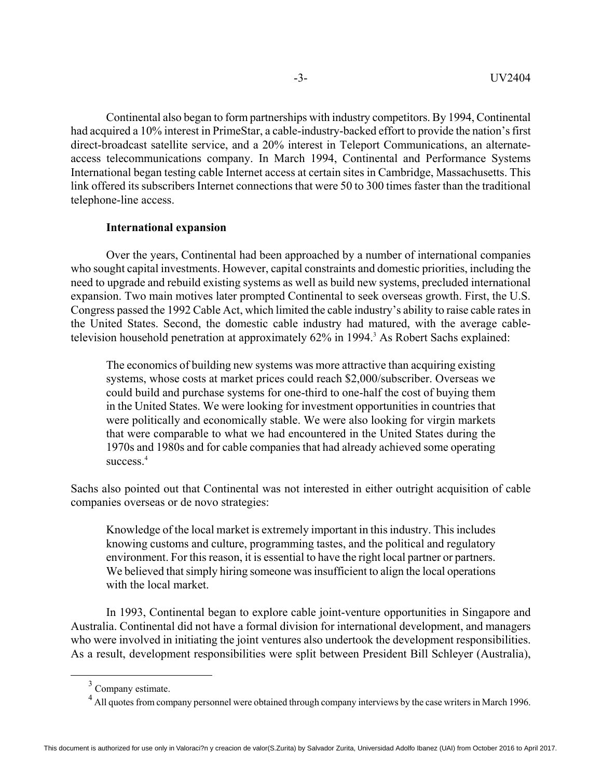Continental also began to form partnerships with industry competitors. By 1994, Continental had acquired a 10% interest in PrimeStar, a cable-industry-backed effort to provide the nation's first direct-broadcast satellite service, and a 20% interest in Teleport Communications, an alternateaccess telecommunications company. In March 1994, Continental and Performance Systems International began testing cable Internet access at certain sites in Cambridge, Massachusetts. This link offered its subscribers Internet connections that were 50 to 300 times faster than the traditional telephone-line access.

### **International expansion**

Over the years, Continental had been approached by a number of international companies who sought capital investments. However, capital constraints and domestic priorities, including the need to upgrade and rebuild existing systems as well as build new systems, precluded international expansion. Two main motives later prompted Continental to seek overseas growth. First, the U.S. Congress passed the 1992 Cable Act, which limited the cable industry's ability to raise cable rates in the United States. Second, the domestic cable industry had matured, with the average cabletelevision household penetration at approximately 62% in 1994.<sup>3</sup> As Robert Sachs explained:

The economics of building new systems was more attractive than acquiring existing systems, whose costs at market prices could reach \$2,000/subscriber. Overseas we could build and purchase systems for one-third to one-half the cost of buying them in the United States. We were looking for investment opportunities in countries that were politically and economically stable. We were also looking for virgin markets that were comparable to what we had encountered in the United States during the 1970s and 1980s and for cable companies that had already achieved some operating success $4$ 

Sachs also pointed out that Continental was not interested in either outright acquisition of cable companies overseas or de novo strategies:

Knowledge of the local market is extremely important in this industry. This includes knowing customs and culture, programming tastes, and the political and regulatory environment. For this reason, it is essential to have the right local partner or partners. We believed that simply hiring someone was insufficient to align the local operations with the local market.

In 1993, Continental began to explore cable joint-venture opportunities in Singapore and Australia. Continental did not have a formal division for international development, and managers who were involved in initiating the joint ventures also undertook the development responsibilities. As a result, development responsibilities were split between President Bill Schleyer (Australia),

<sup>&</sup>lt;sup>3</sup> Company estimate.

<sup>&</sup>lt;sup>4</sup> All quotes from company personnel were obtained through company interviews by the case writers in March 1996.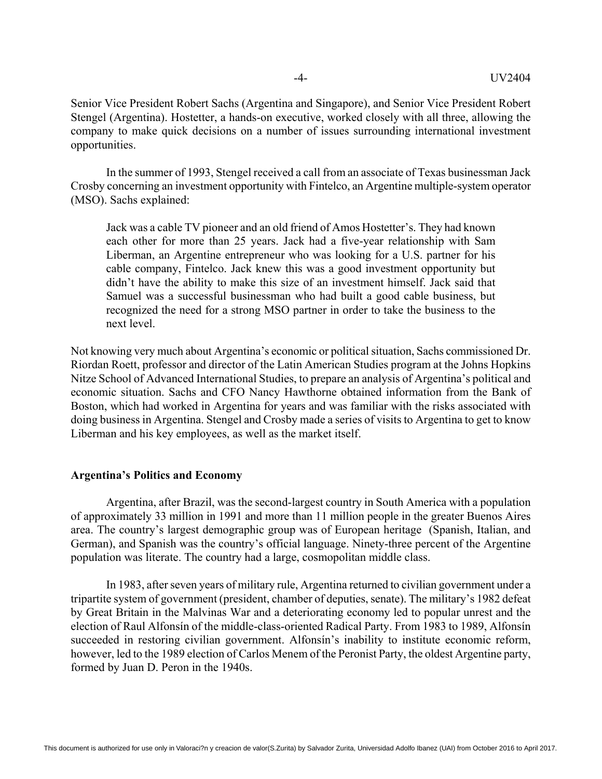Senior Vice President Robert Sachs (Argentina and Singapore), and Senior Vice President Robert Stengel (Argentina). Hostetter, a hands-on executive, worked closely with all three, allowing the company to make quick decisions on a number of issues surrounding international investment opportunities.

In the summer of 1993, Stengel received a call from an associate of Texas businessman Jack Crosby concerning an investment opportunity with Fintelco, an Argentine multiple-system operator (MSO). Sachs explained:

Jack was a cable TV pioneer and an old friend of Amos Hostetter's. They had known each other for more than 25 years. Jack had a five-year relationship with Sam Liberman, an Argentine entrepreneur who was looking for a U.S. partner for his cable company, Fintelco. Jack knew this was a good investment opportunity but didn't have the ability to make this size of an investment himself. Jack said that Samuel was a successful businessman who had built a good cable business, but recognized the need for a strong MSO partner in order to take the business to the next level.

Not knowing very much about Argentina's economic or political situation, Sachs commissioned Dr. Riordan Roett, professor and director of the Latin American Studies program at the Johns Hopkins Nitze School of Advanced International Studies, to prepare an analysis of Argentina's political and economic situation. Sachs and CFO Nancy Hawthorne obtained information from the Bank of Boston, which had worked in Argentina for years and was familiar with the risks associated with doing business in Argentina. Stengel and Crosby made a series of visits to Argentina to get to know Liberman and his key employees, as well as the market itself.

### **Argentina's Politics and Economy**

Argentina, after Brazil, was the second-largest country in South America with a population of approximately 33 million in 1991 and more than 11 million people in the greater Buenos Aires area. The country's largest demographic group was of European heritage (Spanish, Italian, and German), and Spanish was the country's official language. Ninety-three percent of the Argentine population was literate. The country had a large, cosmopolitan middle class.

In 1983, after seven years of military rule, Argentina returned to civilian government under a tripartite system of government (president, chamber of deputies, senate). The military's 1982 defeat by Great Britain in the Malvinas War and a deteriorating economy led to popular unrest and the election of Raul Alfonsín of the middle-class-oriented Radical Party. From 1983 to 1989, Alfonsín succeeded in restoring civilian government. Alfonsín's inability to institute economic reform, however, led to the 1989 election of Carlos Menem of the Peronist Party, the oldest Argentine party, formed by Juan D. Peron in the 1940s.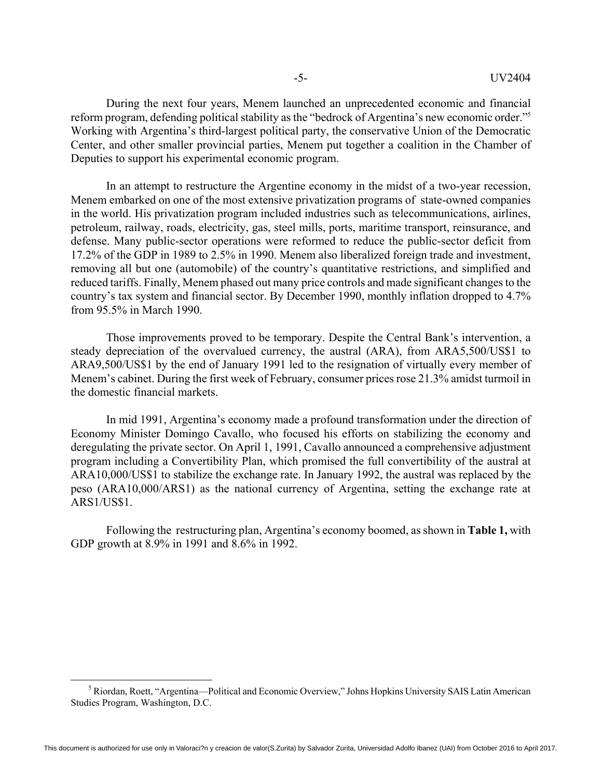During the next four years, Menem launched an unprecedented economic and financial reform program, defending political stability as the "bedrock of Argentina's new economic order."5 Working with Argentina's third-largest political party, the conservative Union of the Democratic Center, and other smaller provincial parties, Menem put together a coalition in the Chamber of Deputies to support his experimental economic program.

In an attempt to restructure the Argentine economy in the midst of a two-year recession, Menem embarked on one of the most extensive privatization programs of state-owned companies in the world. His privatization program included industries such as telecommunications, airlines, petroleum, railway, roads, electricity, gas, steel mills, ports, maritime transport, reinsurance, and defense. Many public-sector operations were reformed to reduce the public-sector deficit from 17.2% of the GDP in 1989 to 2.5% in 1990. Menem also liberalized foreign trade and investment, removing all but one (automobile) of the country's quantitative restrictions, and simplified and reduced tariffs. Finally, Menem phased out many price controls and made significant changes to the country's tax system and financial sector. By December 1990, monthly inflation dropped to 4.7% from 95.5% in March 1990.

Those improvements proved to be temporary. Despite the Central Bank's intervention, a steady depreciation of the overvalued currency, the austral (ARA), from ARA5,500/US\$1 to ARA9,500/US\$1 by the end of January 1991 led to the resignation of virtually every member of Menem's cabinet. During the first week of February, consumer prices rose 21.3% amidst turmoil in the domestic financial markets.

In mid 1991, Argentina's economy made a profound transformation under the direction of Economy Minister Domingo Cavallo, who focused his efforts on stabilizing the economy and deregulating the private sector. On April 1, 1991, Cavallo announced a comprehensive adjustment program including a Convertibility Plan, which promised the full convertibility of the austral at ARA10,000/US\$1 to stabilize the exchange rate. In January 1992, the austral was replaced by the peso (ARA10,000/ARS1) as the national currency of Argentina, setting the exchange rate at ARS1/US\$1.

Following the restructuring plan, Argentina's economy boomed, as shown in **Table 1,** with GDP growth at 8.9% in 1991 and 8.6% in 1992.

 $rac{1}{5}$ <sup>5</sup> Riordan, Roett, "Argentina—Political and Economic Overview," Johns Hopkins University SAIS Latin American Studies Program, Washington, D.C.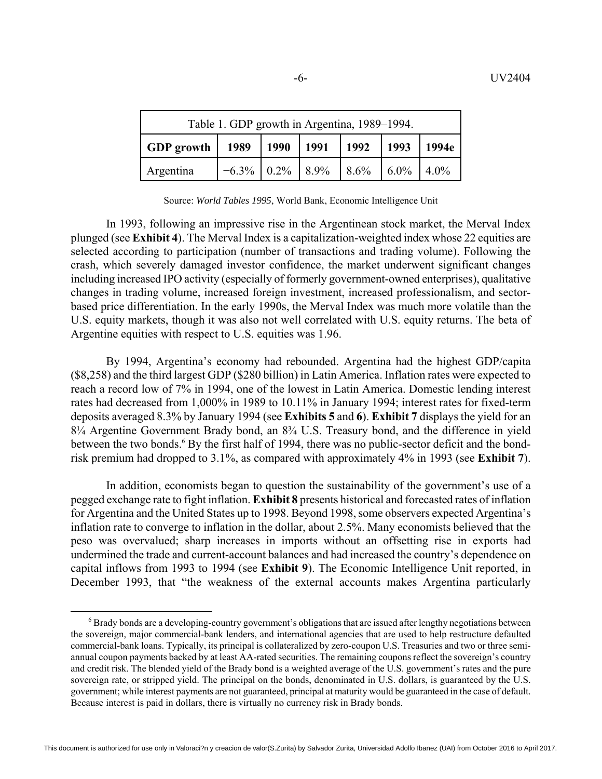| Table 1. GDP growth in Argentina, 1989–1994.                             |  |  |  |  |  |  |
|--------------------------------------------------------------------------|--|--|--|--|--|--|
| 1989   1990   1991<br>1992<br>$\vert$ 1993<br><b>GDP</b> growth<br>1994e |  |  |  |  |  |  |
| $-6.3\%$   0.2%   8.9%   8.6%   6.0%   4.0%<br>Argentina                 |  |  |  |  |  |  |

Source: *World Tables 1995*, World Bank, Economic Intelligence Unit

In 1993, following an impressive rise in the Argentinean stock market, the Merval Index plunged (see **Exhibit 4**). The Merval Index is a capitalization-weighted index whose 22 equities are selected according to participation (number of transactions and trading volume). Following the crash, which severely damaged investor confidence, the market underwent significant changes including increased IPO activity (especially of formerly government-owned enterprises), qualitative changes in trading volume, increased foreign investment, increased professionalism, and sectorbased price differentiation. In the early 1990s, the Merval Index was much more volatile than the U.S. equity markets, though it was also not well correlated with U.S. equity returns. The beta of Argentine equities with respect to U.S. equities was 1.96.

By 1994, Argentina's economy had rebounded. Argentina had the highest GDP/capita (\$8,258) and the third largest GDP (\$280 billion) in Latin America. Inflation rates were expected to reach a record low of 7% in 1994, one of the lowest in Latin America. Domestic lending interest rates had decreased from 1,000% in 1989 to 10.11% in January 1994; interest rates for fixed-term deposits averaged 8.3% by January 1994 (see **Exhibits 5** and **6**). **Exhibit 7** displays the yield for an 8¼ Argentine Government Brady bond, an 8¾ U.S. Treasury bond, and the difference in yield between the two bonds.<sup>6</sup> By the first half of 1994, there was no public-sector deficit and the bondrisk premium had dropped to 3.1%, as compared with approximately 4% in 1993 (see **Exhibit 7**).

In addition, economists began to question the sustainability of the government's use of a pegged exchange rate to fight inflation. **Exhibit 8** presents historical and forecasted rates of inflation for Argentina and the United States up to 1998. Beyond 1998, some observers expected Argentina's inflation rate to converge to inflation in the dollar, about 2.5%. Many economists believed that the peso was overvalued; sharp increases in imports without an offsetting rise in exports had undermined the trade and current-account balances and had increased the country's dependence on capital inflows from 1993 to 1994 (see **Exhibit 9**). The Economic Intelligence Unit reported, in December 1993, that "the weakness of the external accounts makes Argentina particularly

 <sup>6</sup> <sup>6</sup> Brady bonds are a developing-country government's obligations that are issued after lengthy negotiations between the sovereign, major commercial-bank lenders, and international agencies that are used to help restructure defaulted commercial-bank loans. Typically, its principal is collateralized by zero-coupon U.S. Treasuries and two or three semiannual coupon payments backed by at least AA-rated securities. The remaining coupons reflect the sovereign's country and credit risk. The blended yield of the Brady bond is a weighted average of the U.S. government's rates and the pure sovereign rate, or stripped yield. The principal on the bonds, denominated in U.S. dollars, is guaranteed by the U.S. government; while interest payments are not guaranteed, principal at maturity would be guaranteed in the case of default. Because interest is paid in dollars, there is virtually no currency risk in Brady bonds.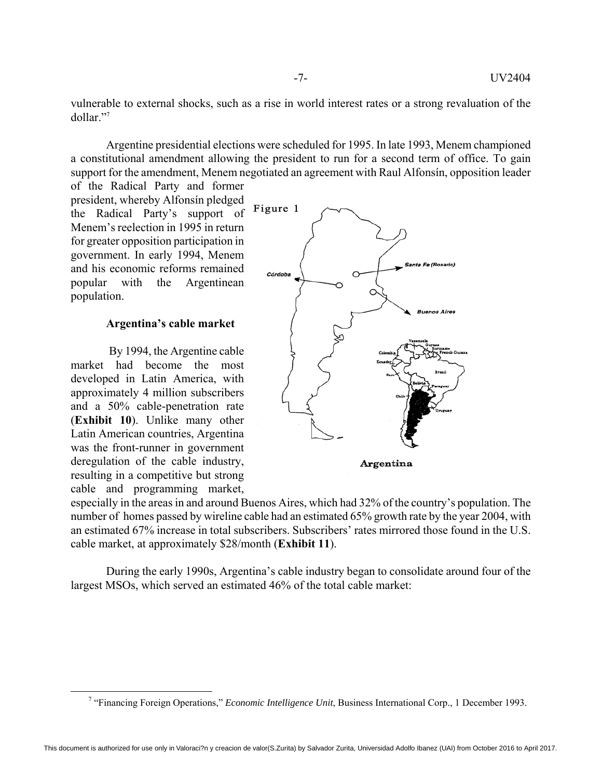vulnerable to external shocks, such as a rise in world interest rates or a strong revaluation of the dollar."7

Argentine presidential elections were scheduled for 1995. In late 1993, Menem championed a constitutional amendment allowing the president to run for a second term of office. To gain support for the amendment, Menem negotiated an agreement with Raul Alfonsín, opposition leader

of the Radical Party and former president, whereby Alfonsín pledged the Radical Party's support of Menem's reelection in 1995 in return for greater opposition participation in government. In early 1994, Menem and his economic reforms remained popular with the Argentinean population.

### **Argentina's cable market**

 By 1994, the Argentine cable market had become the most developed in Latin America, with approximately 4 million subscribers and a 50% cable-penetration rate (**Exhibit 10**). Unlike many other Latin American countries, Argentina was the front-runner in government deregulation of the cable industry, resulting in a competitive but strong cable and programming market,



especially in the areas in and around Buenos Aires, which had 32% of the country's population. The number of homes passed by wireline cable had an estimated 65% growth rate by the year 2004, with an estimated 67% increase in total subscribers. Subscribers' rates mirrored those found in the U.S. cable market, at approximately \$28/month (**Exhibit 11**).

During the early 1990s, Argentina's cable industry began to consolidate around four of the largest MSOs, which served an estimated 46% of the total cable market:

 $\frac{1}{7}$ "Financing Foreign Operations," *Economic Intelligence Unit*, Business International Corp., 1 December 1993.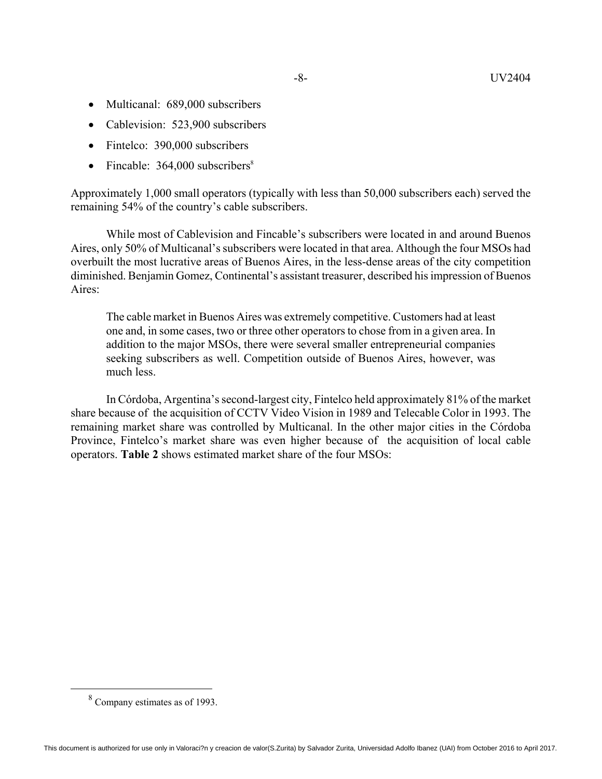- -8- UV2404
- Multicanal: 689,000 subscribers
- Cablevision: 523,900 subscribers
- Fintelco: 390,000 subscribers
- Fincable:  $364,000$  subscribers<sup>8</sup>

Approximately 1,000 small operators (typically with less than 50,000 subscribers each) served the remaining 54% of the country's cable subscribers.

While most of Cablevision and Fincable's subscribers were located in and around Buenos Aires, only 50% of Multicanal's subscribers were located in that area. Although the four MSOs had overbuilt the most lucrative areas of Buenos Aires, in the less-dense areas of the city competition diminished. Benjamin Gomez, Continental's assistant treasurer, described his impression of Buenos Aires:

The cable market in Buenos Aires was extremely competitive. Customers had at least one and, in some cases, two or three other operators to chose from in a given area. In addition to the major MSOs, there were several smaller entrepreneurial companies seeking subscribers as well. Competition outside of Buenos Aires, however, was much less.

In Córdoba, Argentina's second-largest city, Fintelco held approximately 81% of the market share because of the acquisition of CCTV Video Vision in 1989 and Telecable Color in 1993. The remaining market share was controlled by Multicanal. In the other major cities in the Córdoba Province, Fintelco's market share was even higher because of the acquisition of local cable operators. **Table 2** shows estimated market share of the four MSOs:

 <sup>8</sup> Company estimates as of 1993.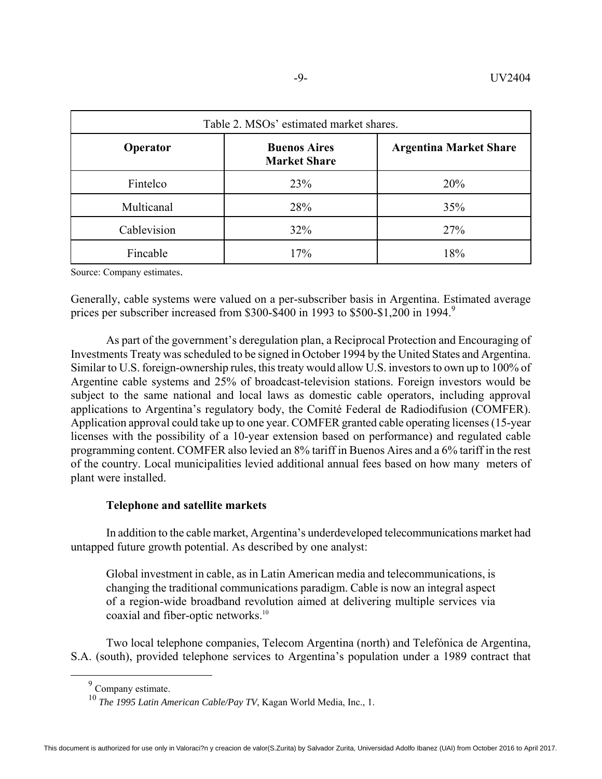| Table 2. MSOs' estimated market shares. |                                            |                               |  |  |  |
|-----------------------------------------|--------------------------------------------|-------------------------------|--|--|--|
| Operator                                | <b>Buenos Aires</b><br><b>Market Share</b> | <b>Argentina Market Share</b> |  |  |  |
| Fintelco                                | 23%                                        | 20%                           |  |  |  |
| Multicanal                              | 28%                                        | 35%                           |  |  |  |
| Cablevision                             | 32%                                        | 27%                           |  |  |  |
| Fincable                                | 17%                                        | 18%                           |  |  |  |

Source: Company estimates.

Generally, cable systems were valued on a per-subscriber basis in Argentina. Estimated average prices per subscriber increased from \$300-\$400 in 1993 to \$500-\$1,200 in 1994.<sup>9</sup>

As part of the government's deregulation plan, a Reciprocal Protection and Encouraging of Investments Treaty was scheduled to be signed in October 1994 by the United States and Argentina. Similar to U.S. foreign-ownership rules, this treaty would allow U.S. investors to own up to 100% of Argentine cable systems and 25% of broadcast-television stations. Foreign investors would be subject to the same national and local laws as domestic cable operators, including approval applications to Argentina's regulatory body, the Comité Federal de Radiodifusion (COMFER). Application approval could take up to one year. COMFER granted cable operating licenses (15-year licenses with the possibility of a 10-year extension based on performance) and regulated cable programming content. COMFER also levied an 8% tariff in Buenos Aires and a 6% tariff in the rest of the country. Local municipalities levied additional annual fees based on how many meters of plant were installed.

### **Telephone and satellite markets**

In addition to the cable market, Argentina's underdeveloped telecommunications market had untapped future growth potential. As described by one analyst:

Global investment in cable, as in Latin American media and telecommunications, is changing the traditional communications paradigm. Cable is now an integral aspect of a region-wide broadband revolution aimed at delivering multiple services via coaxial and fiber-optic networks.<sup>10</sup>

Two local telephone companies, Telecom Argentina (north) and Telefónica de Argentina, S.A. (south), provided telephone services to Argentina's population under a 1989 contract that

 <sup>9</sup> Company estimate.

<sup>10</sup> *The 1995 Latin American Cable/Pay TV*, Kagan World Media, Inc., 1.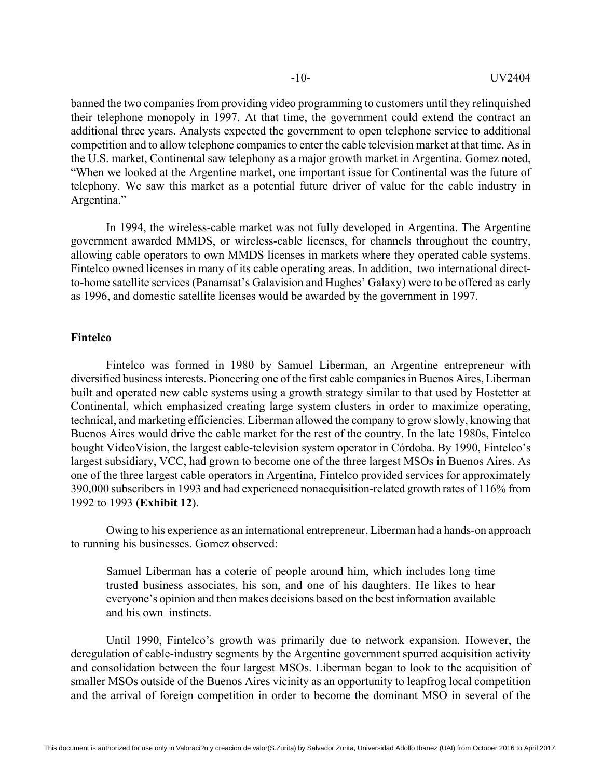banned the two companies from providing video programming to customers until they relinquished their telephone monopoly in 1997. At that time, the government could extend the contract an additional three years. Analysts expected the government to open telephone service to additional competition and to allow telephone companies to enter the cable television market at that time. As in the U.S. market, Continental saw telephony as a major growth market in Argentina. Gomez noted, "When we looked at the Argentine market, one important issue for Continental was the future of telephony. We saw this market as a potential future driver of value for the cable industry in Argentina."

In 1994, the wireless-cable market was not fully developed in Argentina. The Argentine government awarded MMDS, or wireless-cable licenses, for channels throughout the country, allowing cable operators to own MMDS licenses in markets where they operated cable systems. Fintelco owned licenses in many of its cable operating areas. In addition, two international directto-home satellite services (Panamsat's Galavision and Hughes' Galaxy) were to be offered as early as 1996, and domestic satellite licenses would be awarded by the government in 1997.

### **Fintelco**

Fintelco was formed in 1980 by Samuel Liberman, an Argentine entrepreneur with diversified business interests. Pioneering one of the first cable companies in Buenos Aires, Liberman built and operated new cable systems using a growth strategy similar to that used by Hostetter at Continental, which emphasized creating large system clusters in order to maximize operating, technical, and marketing efficiencies. Liberman allowed the company to grow slowly, knowing that Buenos Aires would drive the cable market for the rest of the country. In the late 1980s, Fintelco bought VideoVision, the largest cable-television system operator in Córdoba. By 1990, Fintelco's largest subsidiary, VCC, had grown to become one of the three largest MSOs in Buenos Aires. As one of the three largest cable operators in Argentina, Fintelco provided services for approximately 390,000 subscribers in 1993 and had experienced nonacquisition-related growth rates of 116% from 1992 to 1993 (**Exhibit 12**).

Owing to his experience as an international entrepreneur, Liberman had a hands-on approach to running his businesses. Gomez observed:

Samuel Liberman has a coterie of people around him, which includes long time trusted business associates, his son, and one of his daughters. He likes to hear everyone's opinion and then makes decisions based on the best information available and his own instincts.

Until 1990, Fintelco's growth was primarily due to network expansion. However, the deregulation of cable-industry segments by the Argentine government spurred acquisition activity and consolidation between the four largest MSOs. Liberman began to look to the acquisition of smaller MSOs outside of the Buenos Aires vicinity as an opportunity to leapfrog local competition and the arrival of foreign competition in order to become the dominant MSO in several of the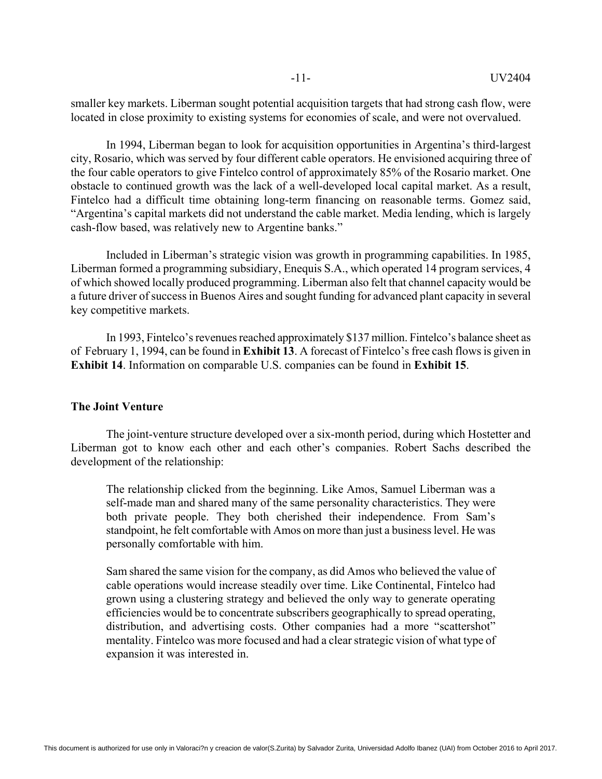smaller key markets. Liberman sought potential acquisition targets that had strong cash flow, were located in close proximity to existing systems for economies of scale, and were not overvalued.

In 1994, Liberman began to look for acquisition opportunities in Argentina's third-largest city, Rosario, which was served by four different cable operators. He envisioned acquiring three of the four cable operators to give Fintelco control of approximately 85% of the Rosario market. One obstacle to continued growth was the lack of a well-developed local capital market. As a result, Fintelco had a difficult time obtaining long-term financing on reasonable terms. Gomez said, "Argentina's capital markets did not understand the cable market. Media lending, which is largely cash-flow based, was relatively new to Argentine banks."

Included in Liberman's strategic vision was growth in programming capabilities. In 1985, Liberman formed a programming subsidiary, Enequis S.A., which operated 14 program services, 4 of which showed locally produced programming. Liberman also felt that channel capacity would be a future driver of success in Buenos Aires and sought funding for advanced plant capacity in several key competitive markets.

In 1993, Fintelco's revenues reached approximately \$137 million. Fintelco's balance sheet as of February 1, 1994, can be found in **Exhibit 13**. A forecast of Fintelco's free cash flows is given in **Exhibit 14**. Information on comparable U.S. companies can be found in **Exhibit 15**.

### **The Joint Venture**

The joint-venture structure developed over a six-month period, during which Hostetter and Liberman got to know each other and each other's companies. Robert Sachs described the development of the relationship:

The relationship clicked from the beginning. Like Amos, Samuel Liberman was a self-made man and shared many of the same personality characteristics. They were both private people. They both cherished their independence. From Sam's standpoint, he felt comfortable with Amos on more than just a business level. He was personally comfortable with him.

Sam shared the same vision for the company, as did Amos who believed the value of cable operations would increase steadily over time. Like Continental, Fintelco had grown using a clustering strategy and believed the only way to generate operating efficiencies would be to concentrate subscribers geographically to spread operating, distribution, and advertising costs. Other companies had a more "scattershot" mentality. Fintelco was more focused and had a clear strategic vision of what type of expansion it was interested in.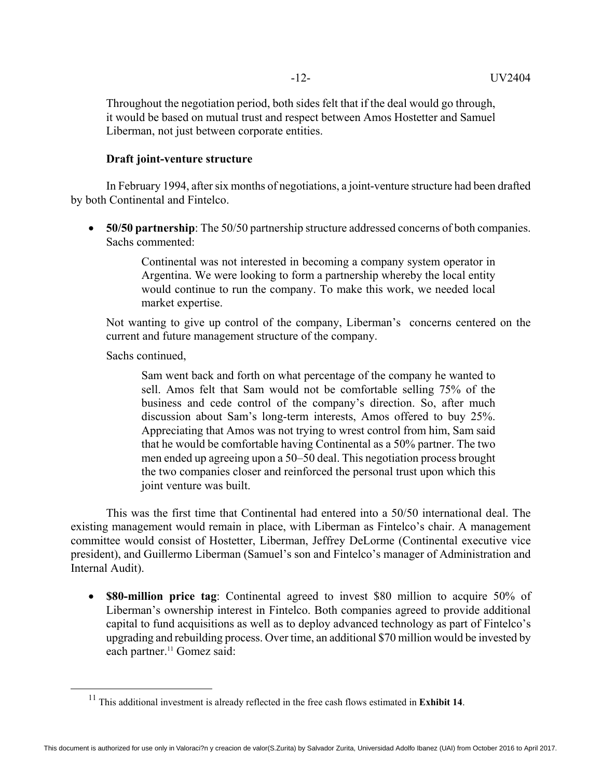Throughout the negotiation period, both sides felt that if the deal would go through, it would be based on mutual trust and respect between Amos Hostetter and Samuel Liberman, not just between corporate entities.

### **Draft joint-venture structure**

In February 1994, after six months of negotiations, a joint-venture structure had been drafted by both Continental and Fintelco.

 **50/50 partnership**: The 50/50 partnership structure addressed concerns of both companies. Sachs commented:

> Continental was not interested in becoming a company system operator in Argentina. We were looking to form a partnership whereby the local entity would continue to run the company. To make this work, we needed local market expertise.

Not wanting to give up control of the company, Liberman's concerns centered on the current and future management structure of the company.

Sachs continued,

Sam went back and forth on what percentage of the company he wanted to sell. Amos felt that Sam would not be comfortable selling 75% of the business and cede control of the company's direction. So, after much discussion about Sam's long-term interests, Amos offered to buy 25%. Appreciating that Amos was not trying to wrest control from him, Sam said that he would be comfortable having Continental as a 50% partner. The two men ended up agreeing upon a 50–50 deal. This negotiation process brought the two companies closer and reinforced the personal trust upon which this joint venture was built.

This was the first time that Continental had entered into a 50/50 international deal. The existing management would remain in place, with Liberman as Fintelco's chair. A management committee would consist of Hostetter, Liberman, Jeffrey DeLorme (Continental executive vice president), and Guillermo Liberman (Samuel's son and Fintelco's manager of Administration and Internal Audit).

 **\$80-million price tag**: Continental agreed to invest \$80 million to acquire 50% of Liberman's ownership interest in Fintelco. Both companies agreed to provide additional capital to fund acquisitions as well as to deploy advanced technology as part of Fintelco's upgrading and rebuilding process. Over time, an additional \$70 million would be invested by each partner.<sup>11</sup> Gomez said:

 <sup>11</sup> This additional investment is already reflected in the free cash flows estimated in **Exhibit 14**.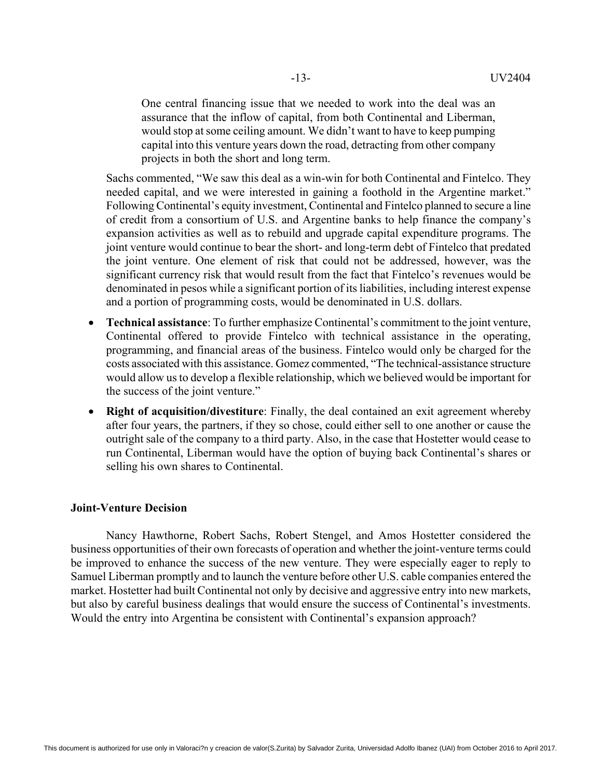One central financing issue that we needed to work into the deal was an assurance that the inflow of capital, from both Continental and Liberman, would stop at some ceiling amount. We didn't want to have to keep pumping capital into this venture years down the road, detracting from other company projects in both the short and long term.

Sachs commented, "We saw this deal as a win-win for both Continental and Fintelco. They needed capital, and we were interested in gaining a foothold in the Argentine market." Following Continental's equity investment, Continental and Fintelco planned to secure a line of credit from a consortium of U.S. and Argentine banks to help finance the company's expansion activities as well as to rebuild and upgrade capital expenditure programs. The joint venture would continue to bear the short- and long-term debt of Fintelco that predated the joint venture. One element of risk that could not be addressed, however, was the significant currency risk that would result from the fact that Fintelco's revenues would be denominated in pesos while a significant portion of its liabilities, including interest expense and a portion of programming costs, would be denominated in U.S. dollars.

- **Technical assistance**: To further emphasize Continental's commitment to the joint venture, Continental offered to provide Fintelco with technical assistance in the operating, programming, and financial areas of the business. Fintelco would only be charged for the costs associated with this assistance. Gomez commented, "The technical-assistance structure would allow us to develop a flexible relationship, which we believed would be important for the success of the joint venture."
- **Right of acquisition/divestiture**: Finally, the deal contained an exit agreement whereby after four years, the partners, if they so chose, could either sell to one another or cause the outright sale of the company to a third party. Also, in the case that Hostetter would cease to run Continental, Liberman would have the option of buying back Continental's shares or selling his own shares to Continental.

### **Joint-Venture Decision**

Nancy Hawthorne, Robert Sachs, Robert Stengel, and Amos Hostetter considered the business opportunities of their own forecasts of operation and whether the joint-venture terms could be improved to enhance the success of the new venture. They were especially eager to reply to Samuel Liberman promptly and to launch the venture before other U.S. cable companies entered the market. Hostetter had built Continental not only by decisive and aggressive entry into new markets, but also by careful business dealings that would ensure the success of Continental's investments. Would the entry into Argentina be consistent with Continental's expansion approach?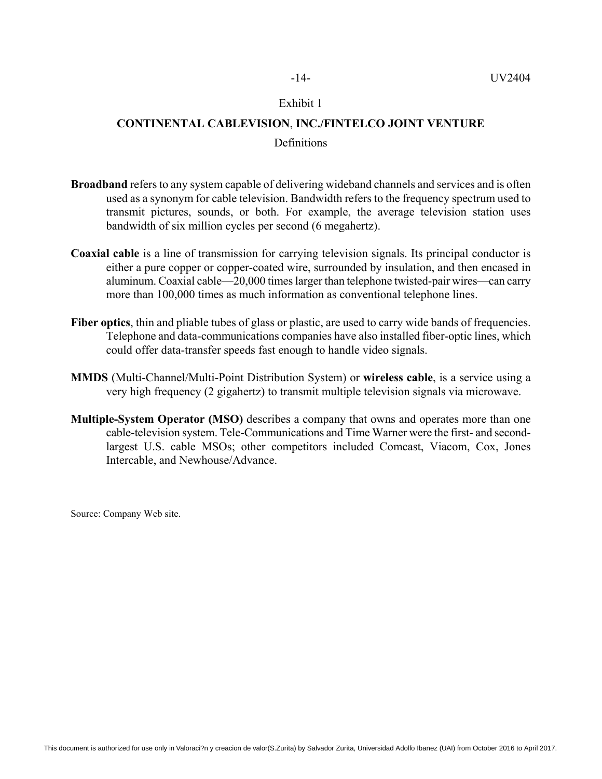### **CONTINENTAL CABLEVISION**, **INC./FINTELCO JOINT VENTURE**

### Definitions

- **Broadband** refers to any system capable of delivering wideband channels and services and is often used as a synonym for cable television. Bandwidth refers to the frequency spectrum used to transmit pictures, sounds, or both. For example, the average television station uses bandwidth of six million cycles per second (6 megahertz).
- **Coaxial cable** is a line of transmission for carrying television signals. Its principal conductor is either a pure copper or copper-coated wire, surrounded by insulation, and then encased in aluminum. Coaxial cable—20,000 times larger than telephone twisted-pair wires—can carry more than 100,000 times as much information as conventional telephone lines.
- **Fiber optics**, thin and pliable tubes of glass or plastic, are used to carry wide bands of frequencies. Telephone and data-communications companies have also installed fiber-optic lines, which could offer data-transfer speeds fast enough to handle video signals.
- **MMDS** (Multi-Channel/Multi-Point Distribution System) or **wireless cable**, is a service using a very high frequency (2 gigahertz) to transmit multiple television signals via microwave.
- **Multiple-System Operator (MSO)** describes a company that owns and operates more than one cable-television system. Tele-Communications and Time Warner were the first- and secondlargest U.S. cable MSOs; other competitors included Comcast, Viacom, Cox, Jones Intercable, and Newhouse/Advance.

Source: Company Web site.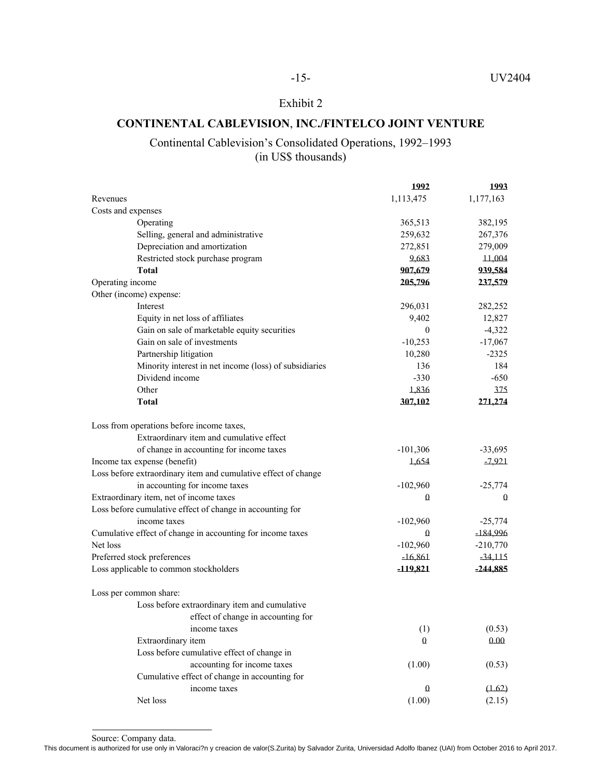### **CONTINENTAL CABLEVISION**, **INC./FINTELCO JOINT VENTURE**

### Continental Cablevision's Consolidated Operations, 1992–1993 (in US\$ thousands)

|                                                                | 1992         | 1993       |
|----------------------------------------------------------------|--------------|------------|
| Revenues                                                       | 1,113,475    | 1,177,163  |
| Costs and expenses                                             |              |            |
| Operating                                                      | 365,513      | 382,195    |
| Selling, general and administrative                            | 259,632      | 267,376    |
| Depreciation and amortization                                  | 272,851      | 279,009    |
| Restricted stock purchase program                              | 9,683        | 11,004     |
| Total                                                          | 907,679      | 939,584    |
| Operating income                                               | 205,796      | 237,579    |
| Other (income) expense:                                        |              |            |
| Interest                                                       | 296,031      | 282,252    |
| Equity in net loss of affiliates                               | 9,402        | 12,827     |
| Gain on sale of marketable equity securities                   | $\mathbf{0}$ | $-4,322$   |
| Gain on sale of investments                                    | $-10,253$    | $-17,067$  |
| Partnership litigation                                         | 10,280       | $-2325$    |
| Minority interest in net income (loss) of subsidiaries         | 136          | 184        |
| Dividend income                                                | $-330$       | $-650$     |
| Other                                                          | 1,836        | 375        |
| <b>Total</b>                                                   | 307,102      | 271,274    |
| Loss from operations before income taxes,                      |              |            |
| Extraordinary item and cumulative effect                       |              |            |
| of change in accounting for income taxes                       | $-101,306$   | $-33,695$  |
| Income tax expense (benefit)                                   | 1,654        | $-7,921$   |
| Loss before extraordinary item and cumulative effect of change |              |            |
| in accounting for income taxes                                 | $-102,960$   | $-25,774$  |
| Extraordinary item, net of income taxes                        | 0            | 0          |
| Loss before cumulative effect of change in accounting for      |              |            |
| income taxes                                                   | $-102,960$   | $-25,774$  |
| Cumulative effect of change in accounting for income taxes     | 0            | $-184,996$ |
| Net loss                                                       | $-102,960$   | $-210,770$ |
| Preferred stock preferences                                    | $-16,861$    | -34,115    |
| Loss applicable to common stockholders                         | -119,821     | $-244,885$ |
| Loss per common share:                                         |              |            |
| Loss before extraordinary item and cumulative                  |              |            |
| effect of change in accounting for                             |              |            |
| income taxes                                                   | (1)          | (0.53)     |
| Extraordinary item                                             | 0            | 0.00       |
| Loss before cumulative effect of change in                     |              |            |
| accounting for income taxes                                    | (1.00)       | (0.53)     |
| Cumulative effect of change in accounting for                  |              |            |
| income taxes                                                   | 0            | (1.62)     |
| Net loss                                                       | (1.00)       | (2.15)     |
|                                                                |              |            |

Source: Company data.

This document is authorized for use only in Valoraci?n y creacion de valor(S.Zurita) by Salvador Zurita, Universidad Adolfo Ibanez (UAI) from October 2016 to April 2017.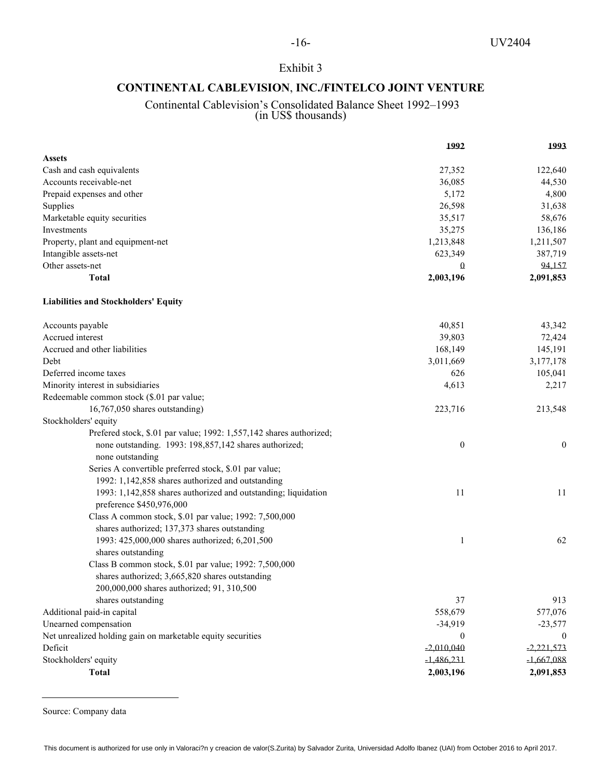### **CONTINENTAL CABLEVISION**, **INC./FINTELCO JOINT VENTURE**

### Continental Cablevision's Consolidated Balance Sheet 1992–1993 (in US\$ thousands)

|                                                                                            | 1992                      | 1993                         |
|--------------------------------------------------------------------------------------------|---------------------------|------------------------------|
| <b>Assets</b>                                                                              |                           |                              |
| Cash and cash equivalents                                                                  | 27,352                    | 122,640                      |
| Accounts receivable-net                                                                    | 36,085                    | 44,530                       |
| Prepaid expenses and other                                                                 | 5,172                     | 4,800                        |
| Supplies                                                                                   | 26,598                    | 31,638                       |
| Marketable equity securities                                                               | 35,517                    | 58,676                       |
| Investments                                                                                | 35,275                    | 136,186                      |
| Property, plant and equipment-net                                                          | 1,213,848                 | 1,211,507                    |
| Intangible assets-net                                                                      | 623,349                   | 387,719                      |
| Other assets-net                                                                           | Ω                         | 94,157                       |
| <b>Total</b>                                                                               | 2,003,196                 | 2,091,853                    |
| <b>Liabilities and Stockholders' Equity</b>                                                |                           |                              |
| Accounts payable                                                                           | 40,851                    | 43,342                       |
| Accrued interest                                                                           | 39,803                    | 72,424                       |
| Accrued and other liabilities                                                              | 168,149                   | 145,191                      |
| Debt                                                                                       | 3,011,669                 | 3,177,178                    |
| Deferred income taxes                                                                      | 626                       | 105,041                      |
| Minority interest in subsidiaries                                                          | 4,613                     | 2,217                        |
| Redeemable common stock (\$.01 par value;                                                  |                           |                              |
| 16,767,050 shares outstanding)                                                             | 223,716                   | 213,548                      |
| Stockholders' equity                                                                       |                           |                              |
| Prefered stock, \$.01 par value; 1992: 1,557,142 shares authorized;                        |                           |                              |
| none outstanding. 1993: 198,857,142 shares authorized;                                     | $\boldsymbol{0}$          | $\boldsymbol{0}$             |
| none outstanding                                                                           |                           |                              |
| Series A convertible preferred stock, \$.01 par value;                                     |                           |                              |
| 1992: 1,142,858 shares authorized and outstanding                                          |                           |                              |
| 1993: 1,142,858 shares authorized and outstanding; liquidation<br>preference \$450,976,000 | 11                        | 11                           |
| Class A common stock, \$.01 par value; 1992: 7,500,000                                     |                           |                              |
| shares authorized; 137,373 shares outstanding                                              |                           |                              |
| 1993: 425,000,000 shares authorized; 6,201,500                                             | 1                         | 62                           |
| shares outstanding                                                                         |                           |                              |
| Class B common stock, \$.01 par value; 1992: 7,500,000                                     |                           |                              |
| shares authorized; 3,665,820 shares outstanding                                            |                           |                              |
| 200,000,000 shares authorized; 91, 310,500                                                 |                           |                              |
| shares outstanding                                                                         | 37                        | 913                          |
| Additional paid-in capital                                                                 | 558,679                   | 577,076                      |
| Unearned compensation                                                                      |                           |                              |
| Net unrealized holding gain on marketable equity securities                                | $-34,919$<br>$\mathbf{0}$ | $-23,577$                    |
| Deficit                                                                                    | $-2,010,040$              | $\mathbf{0}$<br>$-2,221,573$ |
|                                                                                            |                           |                              |
| Stockholders' equity                                                                       | $-1,486,231$              | $-1,667,088$                 |
| <b>Total</b>                                                                               | 2,003,196                 | 2,091,853                    |

Source: Company data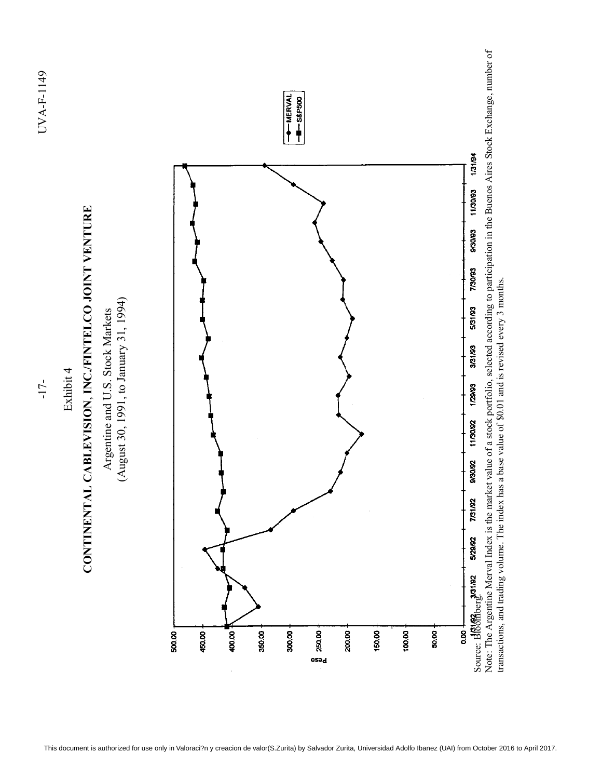

 $U\sqrt{A-F-1149}$   $U\sqrt{A-F-1149}$ UVA-F-1149

 $-17-$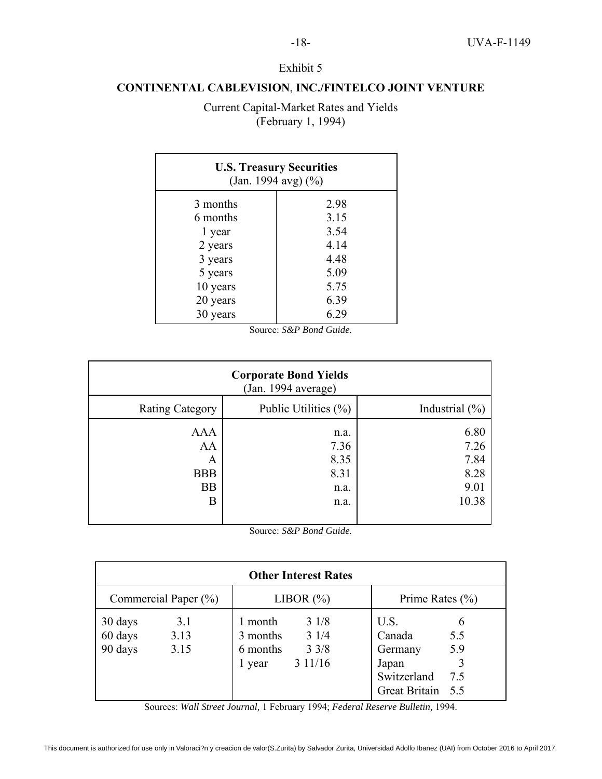### **CONTINENTAL CABLEVISION**, **INC./FINTELCO JOINT VENTURE**

Current Capital-Market Rates and Yields (February 1, 1994)

| <b>U.S. Treasury Securities</b><br>(Jan. 1994 avg) $(\frac{6}{6})$ |      |  |  |  |
|--------------------------------------------------------------------|------|--|--|--|
| 3 months                                                           | 2.98 |  |  |  |
| 6 months                                                           | 3.15 |  |  |  |
| 1 year                                                             | 3.54 |  |  |  |
| 2 years                                                            | 4.14 |  |  |  |
| 3 years                                                            | 4.48 |  |  |  |
| 5 years                                                            | 5.09 |  |  |  |
| 10 years                                                           | 5.75 |  |  |  |
| 20 years                                                           | 6.39 |  |  |  |
| 30 years                                                           | 6.29 |  |  |  |

| Source: S&P Bond Guide. |  |  |
|-------------------------|--|--|
|                         |  |  |

| <b>Corporate Bond Yields</b><br>(Jan. 1994 average)   |                                              |                                               |  |  |  |
|-------------------------------------------------------|----------------------------------------------|-----------------------------------------------|--|--|--|
| <b>Rating Category</b>                                | Public Utilities $(\% )$                     | Industrial $(\% )$                            |  |  |  |
| <b>AAA</b><br>AA<br>A<br><b>BBB</b><br><b>BB</b><br>Β | n.a.<br>7.36<br>8.35<br>8.31<br>n.a.<br>n.a. | 6.80<br>7.26<br>7.84<br>8.28<br>9.01<br>10.38 |  |  |  |

Source: *S&P Bond Guide.*

| <b>Other Interest Rates</b>                                     |                                           |  |                                           |  |                                                                        |                        |
|-----------------------------------------------------------------|-------------------------------------------|--|-------------------------------------------|--|------------------------------------------------------------------------|------------------------|
| LIBOR $(\%)$<br>Commercial Paper $(\% )$<br>Prime Rates $(\% )$ |                                           |  |                                           |  |                                                                        |                        |
| 30 days<br>3.1<br>60 days<br>3.13<br>90 days<br>3.15            | 1 month<br>3 months<br>6 months<br>1 year |  | 31/8<br>31/4<br>$3 \frac{3}{8}$<br>311/16 |  | U.S.<br>Canada<br>Germany<br>Japan<br>Switzerland<br>Great Britain 5.5 | 6<br>5.5<br>5.9<br>7.5 |

Sources: *Wall Street Journal,* 1 February 1994; *Federal Reserve Bulletin,* 1994.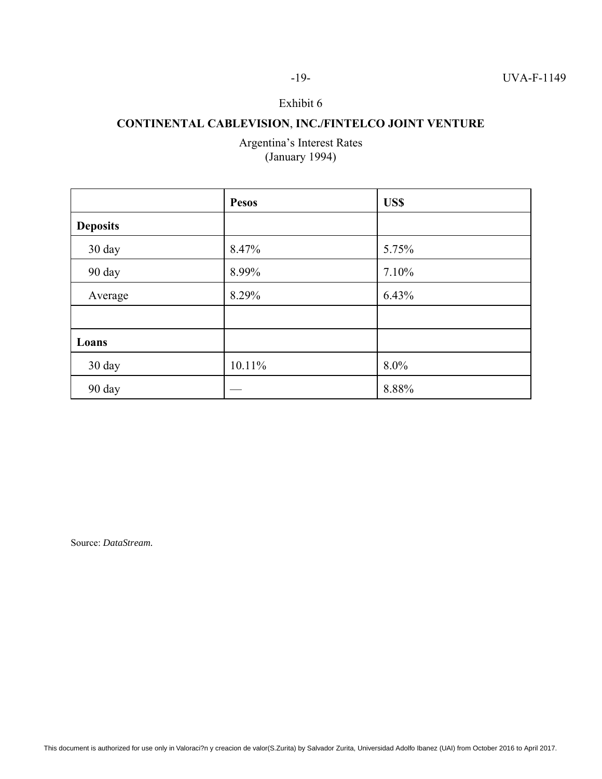### -19- UVA-F-1149

### Exhibit 6

## **CONTINENTAL CABLEVISION**, **INC./FINTELCO JOINT VENTURE**

Argentina's Interest Rates (January 1994)

|                 | <b>Pesos</b> | US\$  |
|-----------------|--------------|-------|
| <b>Deposits</b> |              |       |
| 30 day          | 8.47%        | 5.75% |
| 90 day          | 8.99%        | 7.10% |
| Average         | 8.29%        | 6.43% |
|                 |              |       |
| Loans           |              |       |
| 30 day          | 10.11%       | 8.0%  |
| 90 day          |              | 8.88% |

Source: *DataStream.*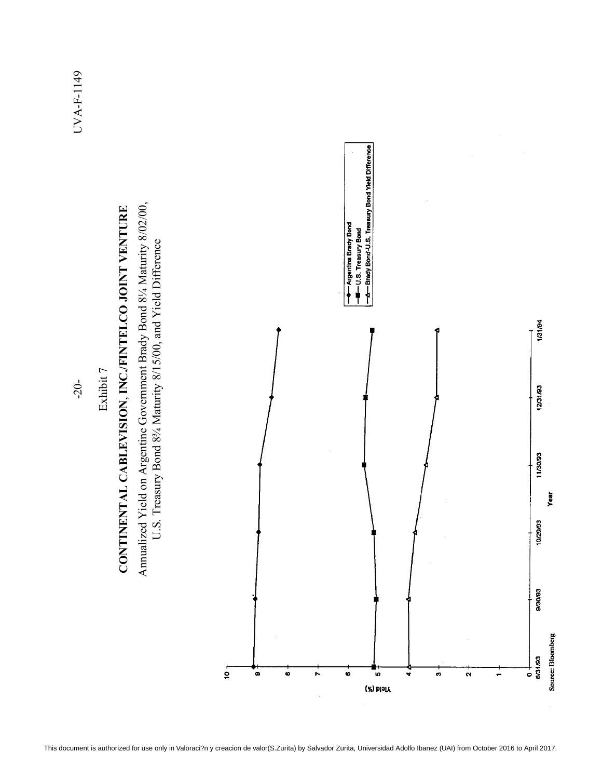

Exhibit 7 Exhibit 7

 $-20$ -

UVA-F-1149 -20- UVA-F-1149

o

N

 $\bullet$ 

10

(%) bisiY

₩

 $\ddot{\bullet}$ 

 $\boldsymbol{\alpha}$ 

÷

 $\ddot{\bullet}$ 

 $10 +$ 

 $\bullet$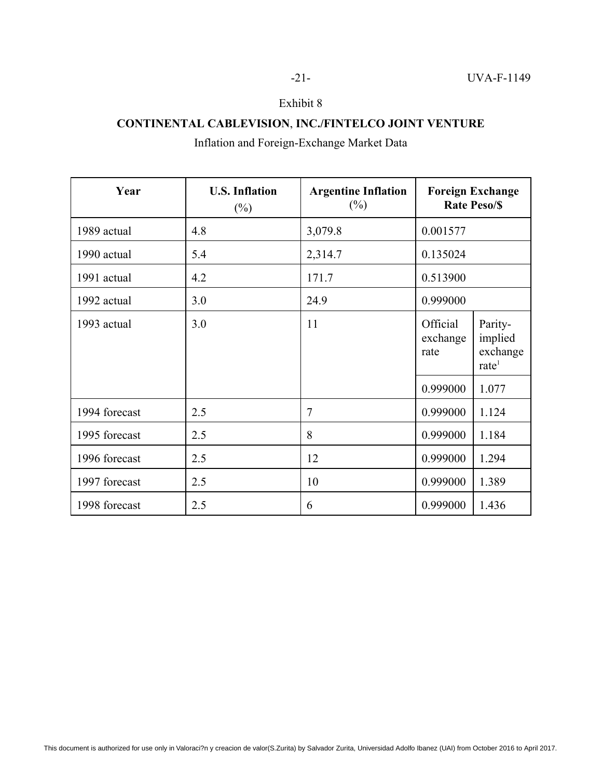### **CONTINENTAL CABLEVISION**, **INC./FINTELCO JOINT VENTURE**

## Inflation and Foreign-Exchange Market Data

| Year          | <b>U.S. Inflation</b><br>$(\%)$ | <b>Argentine Inflation</b><br>$(\%)$ | <b>Foreign Exchange</b><br><b>Rate Peso/\$</b> |                                                   |
|---------------|---------------------------------|--------------------------------------|------------------------------------------------|---------------------------------------------------|
| 1989 actual   | 4.8                             | 3,079.8                              | 0.001577                                       |                                                   |
| 1990 actual   | 5.4                             | 2,314.7                              | 0.135024                                       |                                                   |
| 1991 actual   | 4.2                             | 171.7                                | 0.513900                                       |                                                   |
| 1992 actual   | 3.0                             | 24.9                                 | 0.999000                                       |                                                   |
| 1993 actual   | 3.0                             | 11                                   | Official<br>exchange<br>rate                   | Parity-<br>implied<br>exchange<br>$\text{rate}^1$ |
|               |                                 |                                      | 0.999000                                       | 1.077                                             |
| 1994 forecast | 2.5                             | $\overline{7}$                       | 0.999000                                       | 1.124                                             |
| 1995 forecast | 2.5                             | 8                                    | 0.999000                                       | 1.184                                             |
| 1996 forecast | 2.5                             | 12                                   | 0.999000                                       | 1.294                                             |
| 1997 forecast | 2.5                             | 10                                   | 0.999000                                       | 1.389                                             |
| 1998 forecast | 2.5                             | 6                                    | 0.999000                                       | 1.436                                             |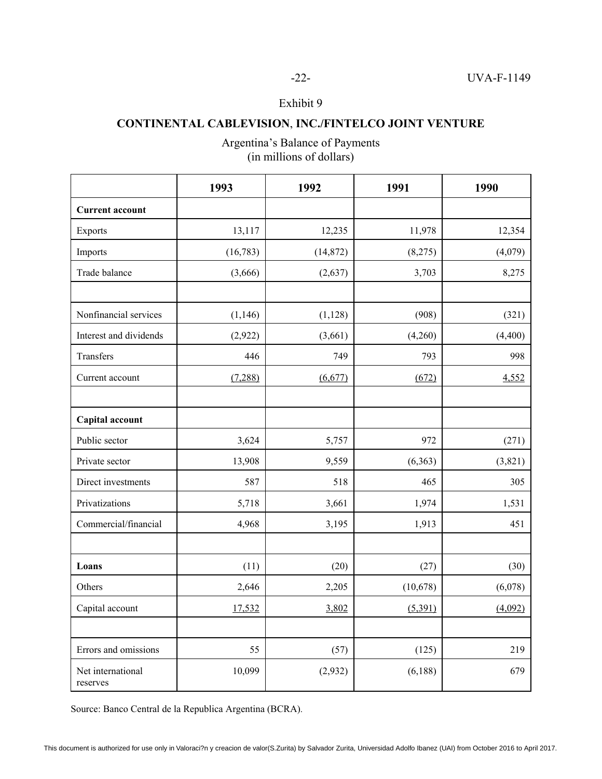### **CONTINENTAL CABLEVISION**, **INC./FINTELCO JOINT VENTURE**

|                               | 1993      | 1992      | 1991     | 1990    |
|-------------------------------|-----------|-----------|----------|---------|
| <b>Current account</b>        |           |           |          |         |
| Exports                       | 13,117    | 12,235    | 11,978   | 12,354  |
| Imports                       | (16, 783) | (14, 872) | (8,275)  | (4,079) |
| Trade balance                 | (3,666)   | (2,637)   | 3,703    | 8,275   |
|                               |           |           |          |         |
| Nonfinancial services         | (1,146)   | (1,128)   | (908)    | (321)   |
| Interest and dividends        | (2,922)   | (3,661)   | (4,260)  | (4,400) |
| Transfers                     | 446       | 749       | 793      | 998     |
| Current account               | (7,288)   | (6,677)   | (672)    | 4,552   |
|                               |           |           |          |         |
| Capital account               |           |           |          |         |
| Public sector                 | 3,624     | 5,757     | 972      | (271)   |
| Private sector                | 13,908    | 9,559     | (6,363)  | (3,821) |
| Direct investments            | 587       | 518       | 465      | 305     |
| Privatizations                | 5,718     | 3,661     | 1,974    | 1,531   |
| Commercial/financial          | 4,968     | 3,195     | 1,913    | 451     |
|                               |           |           |          |         |
| Loans                         | (11)      | (20)      | (27)     | (30)    |
| Others                        | 2,646     | 2,205     | (10,678) | (6,078) |
| Capital account               | 17,532    | 3,802     | (5,391)  | (4,092) |
|                               |           |           |          |         |
| Errors and omissions          | 55        | (57)      | (125)    | 219     |
| Net international<br>reserves | 10,099    | (2,932)   | (6,188)  | 679     |

Argentina's Balance of Payments (in millions of dollars)

Source: Banco Central de la Republica Argentina (BCRA).

-22- UVA-F-1149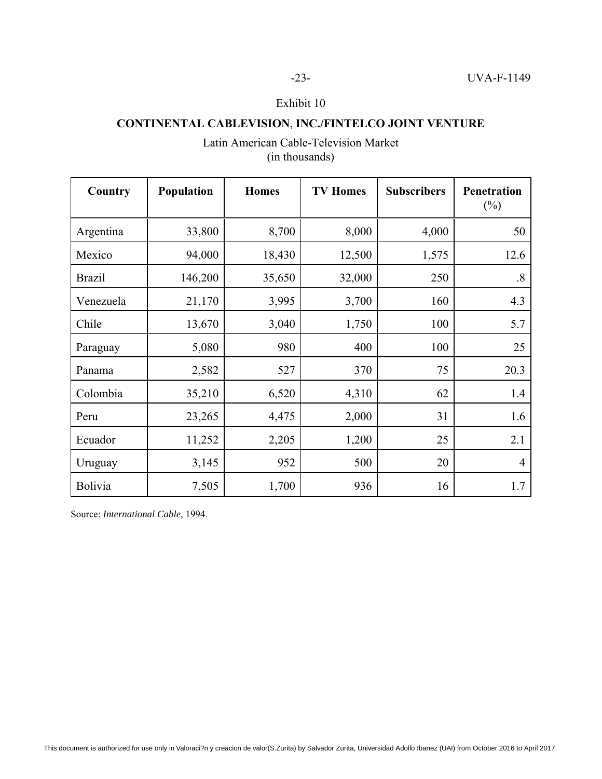### **CONTINENTAL CABLEVISION**, **INC./FINTELCO JOINT VENTURE**

### Latin American Cable-Television Market (in thousands)

| Country       | Population | <b>Homes</b> | <b>TV Homes</b> | <b>Subscribers</b> | <b>Penetration</b><br>$(\%)$ |
|---------------|------------|--------------|-----------------|--------------------|------------------------------|
| Argentina     | 33,800     | 8,700        | 8,000           | 4,000              | 50                           |
| Mexico        | 94,000     | 18,430       | 12,500          | 1,575              | 12.6                         |
| <b>Brazil</b> | 146,200    | 35,650       | 32,000          | 250                | $\cdot$ 8                    |
| Venezuela     | 21,170     | 3,995        | 3,700           | 160                | 4.3                          |
| Chile         | 13,670     | 3,040        | 1,750           | 100                | 5.7                          |
| Paraguay      | 5,080      | 980          | 400             | 100                | 25                           |
| Panama        | 2,582      | 527          | 370             | 75                 | 20.3                         |
| Colombia      | 35,210     | 6,520        | 4,310           | 62                 | 1.4                          |
| Peru          | 23,265     | 4,475        | 2,000           | 31                 | 1.6                          |
| Ecuador       | 11,252     | 2,205        | 1,200           | 25                 | 2.1                          |
| Uruguay       | 3,145      | 952          | 500             | 20                 | $\overline{4}$               |
| Bolivia       | 7,505      | 1,700        | 936             | 16                 | 1.7                          |

Source: *International Cable*, 1994.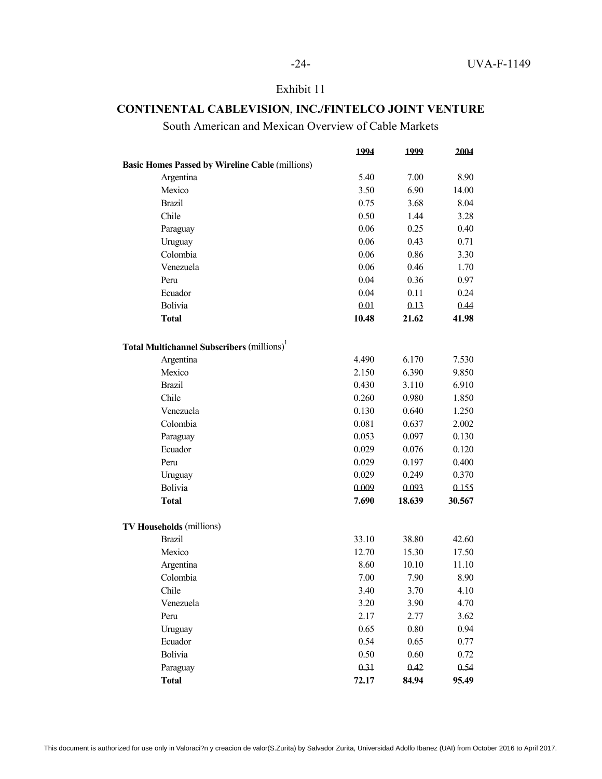### **CONTINENTAL CABLEVISION**, **INC./FINTELCO JOINT VENTURE**

South American and Mexican Overview of Cable Markets

|                                                        | 1994  | 1999   | 2004   |
|--------------------------------------------------------|-------|--------|--------|
| <b>Basic Homes Passed by Wireline Cable (millions)</b> |       |        |        |
| Argentina                                              | 5.40  | 7.00   | 8.90   |
| Mexico                                                 | 3.50  | 6.90   | 14.00  |
| <b>Brazil</b>                                          | 0.75  | 3.68   | 8.04   |
| Chile                                                  | 0.50  | 1.44   | 3.28   |
| Paraguay                                               | 0.06  | 0.25   | 0.40   |
| Uruguay                                                | 0.06  | 0.43   | 0.71   |
| Colombia                                               | 0.06  | 0.86   | 3.30   |
| Venezuela                                              | 0.06  | 0.46   | 1.70   |
| Peru                                                   | 0.04  | 0.36   | 0.97   |
| Ecuador                                                | 0.04  | 0.11   | 0.24   |
| Bolivia                                                | 0.01  | 0.13   | 0.44   |
| <b>Total</b>                                           | 10.48 | 21.62  | 41.98  |
| <b>Total Multichannel Subscribers (millions)</b>       |       |        |        |
| Argentina                                              | 4.490 | 6.170  | 7.530  |
| Mexico                                                 | 2.150 | 6.390  | 9.850  |
| <b>Brazil</b>                                          | 0.430 | 3.110  | 6.910  |
| Chile                                                  | 0.260 | 0.980  | 1.850  |
| Venezuela                                              | 0.130 | 0.640  | 1.250  |
| Colombia                                               | 0.081 | 0.637  | 2.002  |
| Paraguay                                               | 0.053 | 0.097  | 0.130  |
| Ecuador                                                | 0.029 | 0.076  | 0.120  |
| Peru                                                   | 0.029 | 0.197  | 0.400  |
| Uruguay                                                | 0.029 | 0.249  | 0.370  |
| Bolivia                                                | 0.009 | 0.093  | 0.155  |
| <b>Total</b>                                           | 7.690 | 18.639 | 30.567 |
| <b>TV Households (millions)</b>                        |       |        |        |
| <b>Brazil</b>                                          | 33.10 | 38.80  | 42.60  |
| Mexico                                                 | 12.70 | 15.30  | 17.50  |
| Argentina                                              | 8.60  | 10.10  | 11.10  |
| Colombia                                               | 7.00  | 7.90   | 8.90   |
| Chile                                                  | 3.40  | 3.70   | 4.10   |
| Venezuela                                              | 3.20  | 3.90   | 4.70   |
| Peru                                                   | 2.17  | 2.77   | 3.62   |
| Uruguay                                                | 0.65  | 0.80   | 0.94   |
| Ecuador                                                | 0.54  | 0.65   | 0.77   |
| Bolivia                                                | 0.50  | 0.60   | 0.72   |
| Paraguay                                               | 0.31  | 0.42   | 0.54   |
| <b>Total</b>                                           | 72.17 | 84.94  | 95.49  |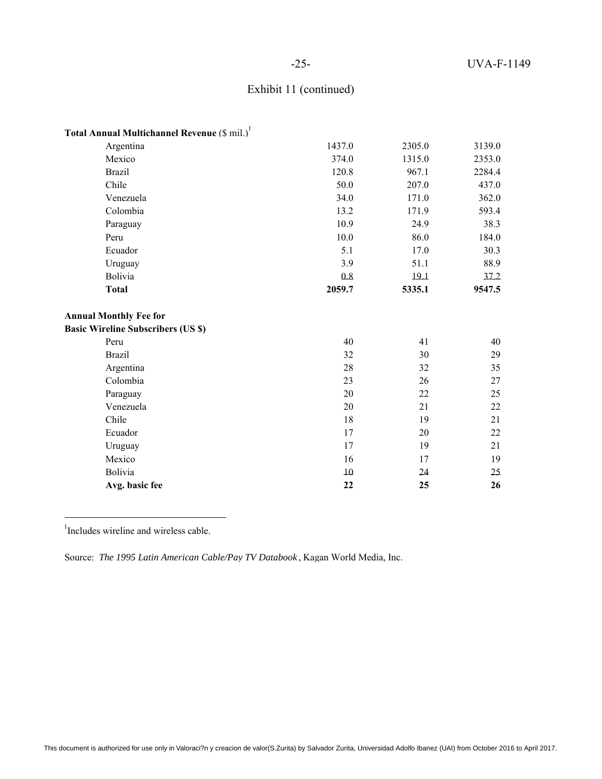### -25- UVA-F-1149

### Exhibit 11 (continued)

| Total Annual Multichannel Revenue (\$ mil.) |        |        |        |
|---------------------------------------------|--------|--------|--------|
| Argentina                                   | 1437.0 | 2305.0 | 3139.0 |
| Mexico                                      | 374.0  | 1315.0 | 2353.0 |
| <b>Brazil</b>                               | 120.8  | 967.1  | 2284.4 |
| Chile                                       | 50.0   | 207.0  | 437.0  |
| Venezuela                                   | 34.0   | 171.0  | 362.0  |
| Colombia                                    | 13.2   | 171.9  | 593.4  |
| Paraguay                                    | 10.9   | 24.9   | 38.3   |
| Peru                                        | 10.0   | 86.0   | 184.0  |
| Ecuador                                     | 5.1    | 17.0   | 30.3   |
| Uruguay                                     | 3.9    | 51.1   | 88.9   |
| Bolivia                                     | 0.8    | 19.1   | 37.2   |
| <b>Total</b>                                | 2059.7 | 5335.1 | 9547.5 |
| <b>Annual Monthly Fee for</b>               |        |        |        |
| <b>Basic Wireline Subscribers (US \$)</b>   |        |        |        |
| Peru                                        | 40     | 41     | 40     |
| <b>Brazil</b>                               | 32     | 30     | 29     |
| Argentina                                   | 28     | 32     | 35     |
| Colombia                                    | 23     | 26     | 27     |
| Paraguay                                    | 20     | 22     | 25     |
| Venezuela                                   | 20     | 21     | 22     |
| Chile                                       | 18     | 19     | 21     |
| Ecuador                                     | 17     | 20     | 22     |
| Uruguay                                     | 17     | 19     | 21     |
| Mexico                                      | 16     | 17     | 19     |
| Bolivia                                     | $10\,$ | 24     | 25     |
| Avg. basic fee                              | 22     | 25     | 26     |

<sup>1</sup>Includes wireline and wireless cable.

Source: *The 1995 Latin American Cable/Pay TV Databook* , Kagan World Media, Inc.

This document is authorized for use only in Valoraci?n y creacion de valor(S.Zurita) by Salvador Zurita, Universidad Adolfo Ibanez (UAI) from October 2016 to April 2017.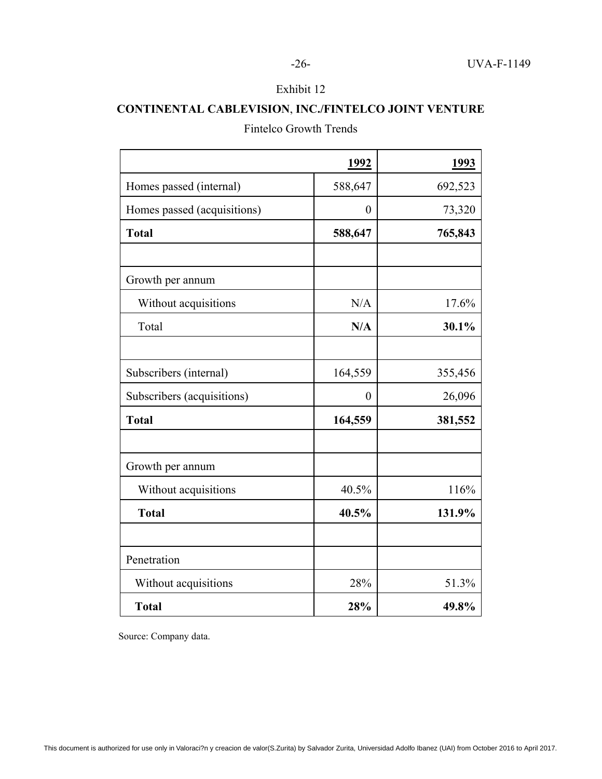### **CONTINENTAL CABLEVISION**, **INC./FINTELCO JOINT VENTURE**

### Fintelco Growth Trends

|                             | <u>1992</u>      | 1993    |
|-----------------------------|------------------|---------|
| Homes passed (internal)     | 588,647          | 692,523 |
| Homes passed (acquisitions) | $\boldsymbol{0}$ | 73,320  |
| <b>Total</b>                | 588,647          | 765,843 |
|                             |                  |         |
| Growth per annum            |                  |         |
| Without acquisitions        | N/A              | 17.6%   |
| Total                       | N/A              | 30.1%   |
|                             |                  |         |
| Subscribers (internal)      | 164,559          | 355,456 |
| Subscribers (acquisitions)  | $\theta$         | 26,096  |
| <b>Total</b>                | 164,559          | 381,552 |
|                             |                  |         |
| Growth per annum            |                  |         |
| Without acquisitions        | 40.5%            | 116%    |
| <b>Total</b>                | 40.5%            | 131.9%  |
|                             |                  |         |
| Penetration                 |                  |         |
| Without acquisitions        | 28%              | 51.3%   |
| <b>Total</b>                | 28%              | 49.8%   |

Source: Company data.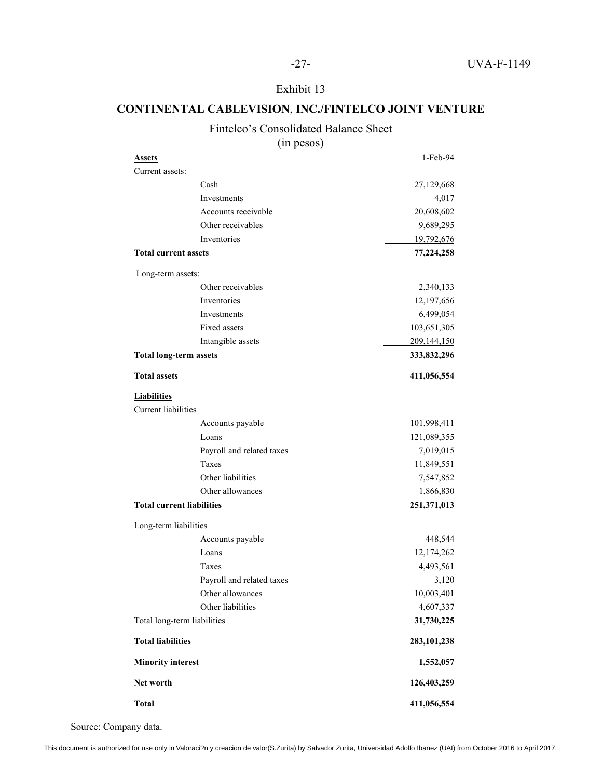### **CONTINENTAL CABLEVISION**, **INC./FINTELCO JOINT VENTURE**

### Fintelco's Consolidated Balance Sheet

(in pesos)

| <b>Assets</b>                                    |                           | 1-Feb-94      |
|--------------------------------------------------|---------------------------|---------------|
| Current assets:                                  |                           |               |
|                                                  | Cash                      | 27,129,668    |
|                                                  | Investments               | 4,017         |
|                                                  | Accounts receivable       | 20,608,602    |
|                                                  | Other receivables         | 9,689,295     |
|                                                  | Inventories               | 19,792,676    |
| <b>Total current assets</b>                      |                           | 77,224,258    |
| Long-term assets:                                |                           |               |
|                                                  | Other receivables         | 2,340,133     |
|                                                  | Inventories               | 12,197,656    |
|                                                  | Investments               | 6,499,054     |
|                                                  | Fixed assets              | 103,651,305   |
|                                                  | Intangible assets         | 209,144,150   |
| <b>Total long-term assets</b>                    |                           | 333,832,296   |
| <b>Total assets</b>                              |                           | 411,056,554   |
| <b>Liabilities</b><br><b>Current liabilities</b> |                           |               |
|                                                  | Accounts payable          | 101,998,411   |
|                                                  | Loans                     | 121,089,355   |
|                                                  | Payroll and related taxes | 7,019,015     |
|                                                  | Taxes                     | 11,849,551    |
|                                                  | Other liabilities         | 7,547,852     |
|                                                  | Other allowances          | 1,866,830     |
| <b>Total current liabilities</b>                 |                           | 251,371,013   |
| Long-term liabilities                            |                           |               |
|                                                  | Accounts payable          | 448,544       |
|                                                  | Loans                     | 12,174,262    |
|                                                  | Taxes                     | 4,493,561     |
|                                                  | Payroll and related taxes | 3,120         |
|                                                  | Other allowances          | 10,003,401    |
|                                                  | Other liabilities         | 4,607,337     |
| Total long-term liabilities                      |                           | 31,730,225    |
| <b>Total liabilities</b>                         |                           | 283, 101, 238 |
| <b>Minority interest</b>                         |                           | 1,552,057     |
| Net worth                                        |                           | 126,403,259   |
| <b>Total</b>                                     |                           | 411,056,554   |

Source: Company data.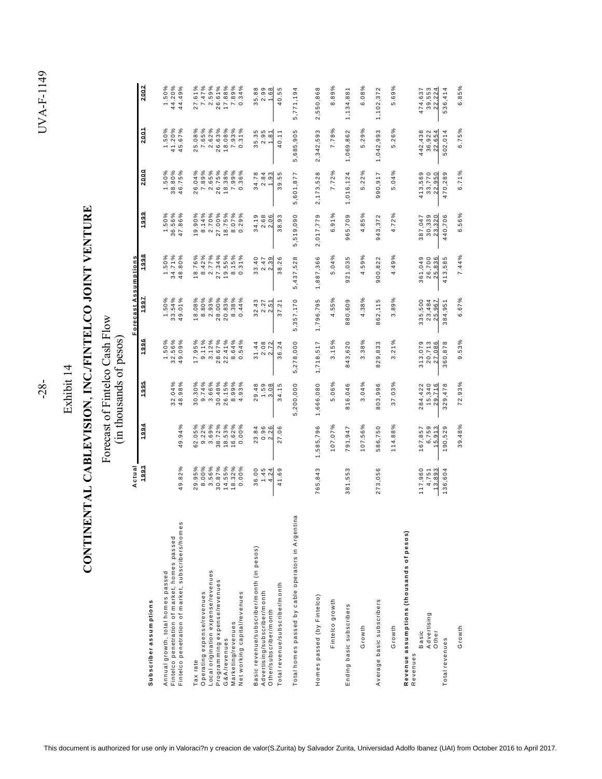| I<br>I<br>ı<br>ŗ<br>֚֚<br>ı<br>ׇ֠<br>l<br>í<br>ׇ֠<br>I<br>þ<br>)<br>j |  |
|-----------------------------------------------------------------------|--|
|                                                                       |  |
|                                                                       |  |
|                                                                       |  |
| I                                                                     |  |
| ¢<br>l<br>Ó                                                           |  |

Exhibit 14 Exhibit 14

 $-28-$ 

## CONTINENTAL CABLEVISION, INC./FINTELCO JOINT VENTURE **CONTINENTAL CABLEVISION**, **INC./FINTELCO JOINT VENTURE**

Forecast of Fintelco Cash Flow<br>(in thousands of pesos) Forecast of Fintelco Cash Flow (in thousands of pesos)

|                                                                                                                                        | Actual                              |                                     |                                    |                                    | Forecast Assumptions               |                                    |                                    |                                    |                                             |                                    |
|----------------------------------------------------------------------------------------------------------------------------------------|-------------------------------------|-------------------------------------|------------------------------------|------------------------------------|------------------------------------|------------------------------------|------------------------------------|------------------------------------|---------------------------------------------|------------------------------------|
| Subscriber assumptions                                                                                                                 | 1993                                | 1994                                | 1995                               | 1996                               | 1997                               | 1998                               | 1999                               | 2.000                              | 2001                                        | 2.0.02                             |
| Fintelco penetration of market, subscribers/homes<br>Fintelco penetration of market, homes passed<br>Annual growth, total homes passed | 49.82%                              | 49.94%                              | 32.04%<br>48.98%                   | 1.50%<br>32.56%<br>49.09%          | 1.50%<br>33.54%<br>49.01%          | 1.50%<br>34.71%<br>48.80%          | 1.50%<br>36.56%<br>47.86%          | 38.80%<br>1.50%<br>46.75%          | 1.50%<br>41.20%<br>45.67%                   | 44.20%<br>1.50%<br>44.49%          |
| Local origination expense/revenues<br>Operating expense/revenues<br>Tax rate                                                           | 3.56%<br>29.95%<br>8.00%            | 3.69%<br>62.05%<br>9.22%            | 30.30%<br>9.74%<br>3.66%           | 17.95%<br>3.12%<br>9.11%           | 2.93%<br>18.08%<br>8.80%           | 18.76%<br>8.42%<br>2.77%           | 19.90%<br>8.14%<br>2.70%           | 7.89%<br>2.65%<br>26.04%           | ళ<br>7.65%<br>2.62%<br>25.08                | 2.59%<br>27.61%<br>7.47%           |
| Programming expense/revenues<br>Net working capital/revenues<br>Marketing/revenues<br>G&A/revenues                                     | 30.87%<br>14.55%<br>18.32%<br>0.00% | 38.72%<br>18.53%<br>16.62%<br>0.00% | 30.48%<br>26.15%<br>8.99%<br>4.93% | 28.67%<br>8.64%<br>0.54%<br>22.41% | 28.00%<br>20.83%<br>8.38%<br>0.44% | 27.34%<br>19.55%<br>8.15%<br>0.31% | 27.00%<br>18.75%<br>8.07%<br>0.29% | 26.75%<br>18.38%<br>7.99%<br>0.36% | 26.63%<br>18.08%<br>7.93%<br>0.31%          | 26.61%<br>7.89%<br>17.88%<br>0.34% |
| Basic revenue/subscriber/month (in pesos)<br>Total revenue/subscriber/month<br>Advertising/subscriber/month<br>Other/subscriber/month  | 36.00<br>1.45<br>41.69<br>4.24      | 0.96<br>23.84<br>2.26<br>27.06      | 29.48<br>1.59<br>3.08<br>34.15     | 2.08<br>2.72<br>36.24<br>31.44     | 32.43<br>2.27<br>2.51<br>37.21     | 33.40<br>2.39<br>38.26<br>2.47     | 34.19<br>2.68<br>2.06<br>38.93     | 34.78<br>2.84<br>1.93<br>39.55     | 35.35<br>Б<br>40.11<br>2.9<br>$\frac{1}{2}$ | 35.88<br>$2.99$<br>$1.68$<br>40.55 |
| Total homes passed by cable operators in Argentina                                                                                     |                                     |                                     | 5,200,000                          | 5,278,000                          | 5, 357, 170                        | 5,437,528                          | 5,519,090                          | 5,601,877                          | 5,685,905                                   | 5,771,194                          |
| Homes passed (by Fintelco)<br>Fintelco growth                                                                                          | 765,843                             | 107.07%<br>1,585,796                | 5.06%<br>1,666,080                 | 3.15%<br>1,718,517                 | 4.55%<br>1,796,795                 | 5.04%<br>1,887,366                 | 6.91%<br>2,017,779                 | 7.72%<br>2,173,528                 | 7.78%<br>2,342,593                          | 8.89%<br>2,550,868                 |
| Ending basic subscribers<br>Growth                                                                                                     | 381,553                             | 107.56%<br>791,947                  | 3.04%<br>816,046                   | 3.38%<br>843,620                   | 4.38%<br>880,609                   | 4.59%<br>921,035                   | 4.85%<br>965,709                   | 5.22%<br>1,016,124                 | 5.29%<br>1,069,862                          | 6.08%<br>1,134,881                 |
| Average basic subscribers<br>Growth                                                                                                    | 273,056                             | 114.88%<br>586,750                  | 37.03%<br>803,996                  | 3.21%<br>829,833                   | 3.89%<br>862,115                   | 4.49%<br>900,822                   | 4.72%<br>943,372                   | 5.04%<br>990,917                   | 5.26%<br>1,042,993                          | 5.69%<br>1,102,372                 |
| Revenue assumptions (thousands of pesos)<br>Advertising<br>Other<br>Basic<br>Revenues                                                  | 117,960<br>13,893<br>4,751          | 6,759<br>167,857<br>15,913          | 284,422<br>15,340<br>29,716        | 313,079<br>20,713<br>27,086        | 335,500<br>23,484<br>25,967        | 361,049<br>26,700<br>25,836        | 30,339<br>23,320<br>387,047        | 413,569<br>33,770<br>22,950        | 442,438<br>36,922<br>₹<br>22,65             | 39,553<br>22.224<br>474,637        |
| Growth<br>Total revenues                                                                                                               | 136,604                             | 39.48%<br>190,529                   | 72.93%<br>329,478                  | 9.53%<br>360,878                   | 6.67%<br>384,951                   | 7.44%<br>413,585                   | 6.56%<br>440,706                   | 6.71%<br>470,289                   | 6.75%<br>502,014                            | 6.85%<br>536,414                   |
|                                                                                                                                        |                                     |                                     |                                    |                                    |                                    |                                    |                                    |                                    |                                             |                                    |

This document is authorized for use only in Valoraci?n y creacion de valor(S.Zurita) by Salvador Zurita, Universidad Adolfo Ibanez (UAI) from October 2016 to April 2017.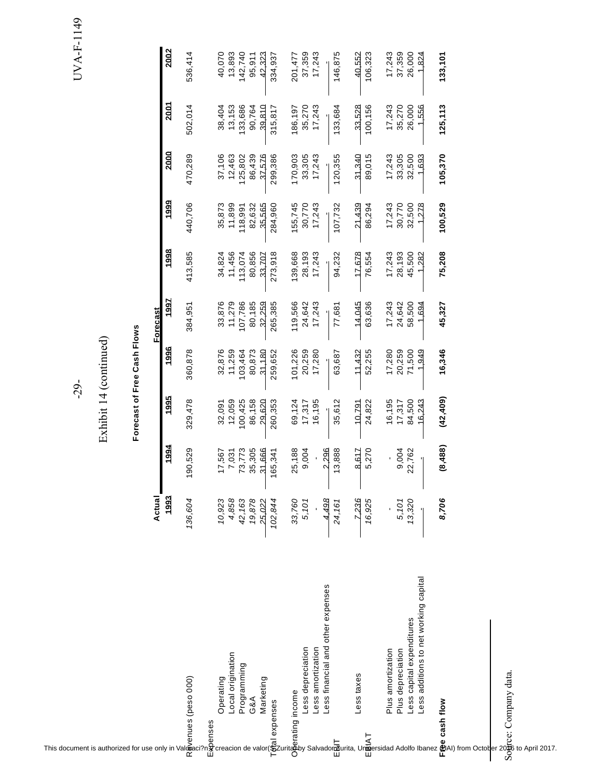UVA-F-1149 UVA-F-1149 -29-

| This document is authorized for use only in Valoration of $\alpha$ and $\alpha$ area action de valor ( $\frac{1}{2}$ and $\alpha$ and $\alpha$ and $\alpha$ and $\alpha$ and $\alpha$ and $\alpha$ and $\alpha$ and $\alpha$ and $\alpha$ and $\alpha$ and $\alpha$ and $\alpha$ and $\alpha$ |         |                | $-29 -$   |                             |                 |         |         |         |          | UVA-F   |
|-----------------------------------------------------------------------------------------------------------------------------------------------------------------------------------------------------------------------------------------------------------------------------------------------|---------|----------------|-----------|-----------------------------|-----------------|---------|---------|---------|----------|---------|
|                                                                                                                                                                                                                                                                                               |         |                |           | Exhibit 14 (continued)      |                 |         |         |         |          |         |
|                                                                                                                                                                                                                                                                                               |         |                |           | Forecast of Free Cash Flows |                 |         |         |         |          |         |
|                                                                                                                                                                                                                                                                                               | Actual  |                |           |                             | <b>Forecast</b> |         |         |         |          |         |
|                                                                                                                                                                                                                                                                                               | 1993    | 1994           | 1995      | 1996                        | 1997            | 1998    | 1999    | 2000    | 2001     | 2002    |
|                                                                                                                                                                                                                                                                                               | 136,604 | 190,529        | 329,478   | 360,878                     | 384,951         | 413,585 | 440,706 | 470,289 | 502,014  | 536,414 |
|                                                                                                                                                                                                                                                                                               | 10,923  | 17,567         | 32,091    | 32,876                      | 33,876          | 34,824  | 35,873  | 37,106  | 38,404   | 40,070  |
| Local origination                                                                                                                                                                                                                                                                             | 4,858   | 7,031          | 12,059    | 11,259                      | 11,279          | 11,456  | 11,899  | 12,463  | 13,153   | 13,893  |
| Programming                                                                                                                                                                                                                                                                                   | 42,163  | 73,773         | 100,425   | 103,464                     | 107,786         | 113,074 | 118,991 | 125,802 | 133,686  | 142,740 |
|                                                                                                                                                                                                                                                                                               | 19,878  | 35,305         | 86,158    | 80,873                      | 80,185          | 80,856  | 82,632  | 86,439  | 90,764   | 95,911  |
|                                                                                                                                                                                                                                                                                               | 25,022  | 31,666         | 29,620    | 31,180                      | 32,259          | 33,707  | 35,565  | 37,576  | 39,810   | 42,323  |
|                                                                                                                                                                                                                                                                                               | 102,844 | 165,341        | 260,353   | 259,652                     | 265,385         | 273,918 | 284,960 | 299,386 | 315,817  | 334,937 |
|                                                                                                                                                                                                                                                                                               | 33,760  | 25,188         | 69,124    | 101,226                     | 119,566         | 139,668 | 155,745 | 170,903 | 186,197  | 201,477 |
| Less depreciation                                                                                                                                                                                                                                                                             | 5,101   | 9,004          | 17,317    | 20,259                      | 24,642          | 28,193  | 30,770  | 33,305  | 35,270   | 37,359  |
| Less amortization                                                                                                                                                                                                                                                                             |         |                | 16,195    | 17,280                      | 17,243          | 17,243  | 17,243  | 17,243  | 17,243   | 17,243  |
| Less financial and other expenses                                                                                                                                                                                                                                                             | 4,498   | 2.296          |           |                             |                 |         |         |         |          |         |
|                                                                                                                                                                                                                                                                                               | 24,161  | 13,888         | 35,612    | 63,687                      | 77,681          | 94,232  | 107,732 | 120,355 | 133,684  | 146,875 |
| Less taxes                                                                                                                                                                                                                                                                                    | 7,236   | 8,617          | 10.791    | 11,432                      | 14,045          | 17.678  | 21,439  | 31.340  | 33,528   | 40.552  |
|                                                                                                                                                                                                                                                                                               | 16,925  | 5,270          | 24,822    | 52,255                      | 63,636          | 76,554  | 86,294  | 89,015  | 100,156  | 106,323 |
| Plus amortization                                                                                                                                                                                                                                                                             |         | $\blacksquare$ | 16,195    | 17,280                      | 17,243          | 17,243  | 17,243  | 17,243  | 17,243   | 17,243  |
| Plus depreciation                                                                                                                                                                                                                                                                             | 5,101   | 9,004          | 17,317    | 20,259                      | 24,642          | 28,193  | 30,770  | 33,305  | 35,270   | 37,359  |
| Less capital expenditures                                                                                                                                                                                                                                                                     | 13,320  | 22,762         | 84,500    | 71,500                      | 58,500          | 45,500  | 32,500  | 32,500  | 26,000   | 26,000  |
| Less additions to net working capital                                                                                                                                                                                                                                                         |         |                | 16,243    | 1,949                       | 1,694           | 1,282   | 1,278   | 1,693   | 1,556    | 1,824   |
|                                                                                                                                                                                                                                                                                               | 8,706   | (8,488)        | (42, 409) | 16,346                      | 45,327          | 75,208  | 100,529 | 105,370 | 125, 113 | 133,101 |
|                                                                                                                                                                                                                                                                                               |         |                |           |                             |                 |         |         |         |          |         |
|                                                                                                                                                                                                                                                                                               |         |                |           |                             |                 |         |         |         |          |         |
| Sogce: Company data.                                                                                                                                                                                                                                                                          |         |                |           |                             |                 |         |         |         |          |         |
|                                                                                                                                                                                                                                                                                               |         |                |           |                             |                 |         |         |         |          |         |
| to April 2017.                                                                                                                                                                                                                                                                                |         |                |           |                             |                 |         |         |         |          |         |
|                                                                                                                                                                                                                                                                                               |         |                |           |                             |                 |         |         |         |          |         |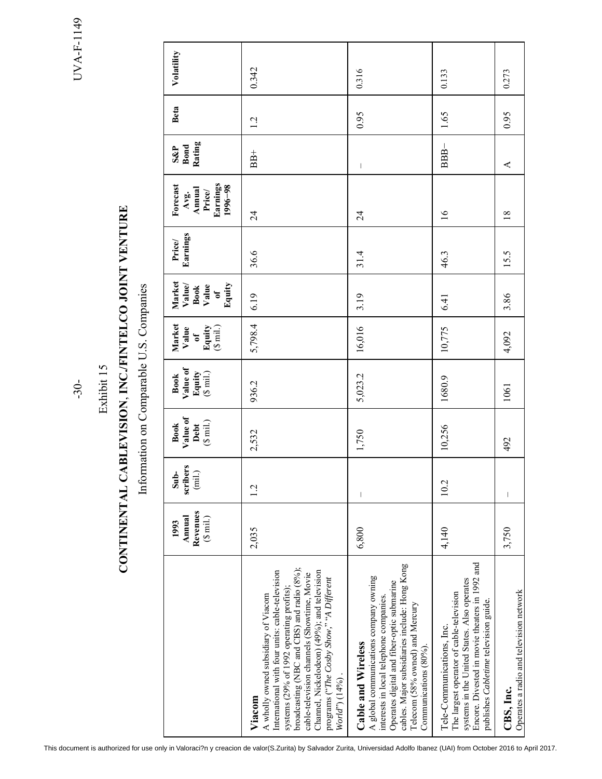UVA-F-1149 -30- UVA-F-1149

 $-30-$ 

## Exhibit 15 Exhibit 15

# CONTINENTAL CABLEVISION, INC./FINTELCO JOINT VENTURE **CONTINENTAL CABLEVISION**, **INC./FINTELCO JOINT VENTURE**

Information on Comparable U.S. Companies Information on Comparable U.S. Companies

| Value of<br>$(\S \text{ mil.})$<br><b>Book</b><br>Debt<br>scribers<br>$(mil.)$<br>$Sub-$ |
|------------------------------------------------------------------------------------------|
| 936.2<br>2,532<br>1.2                                                                    |
| 5,023.2<br>1,750<br>I                                                                    |
| 1680.9<br>10,256<br>10.2                                                                 |
| 1061<br>492                                                                              |

This document is authorized for use only in Valoraci?n y creacion de valor(S.Zurita) by Salvador Zurita, Universidad Adolfo Ibanez (UAI) from October 2016 to April 2017.